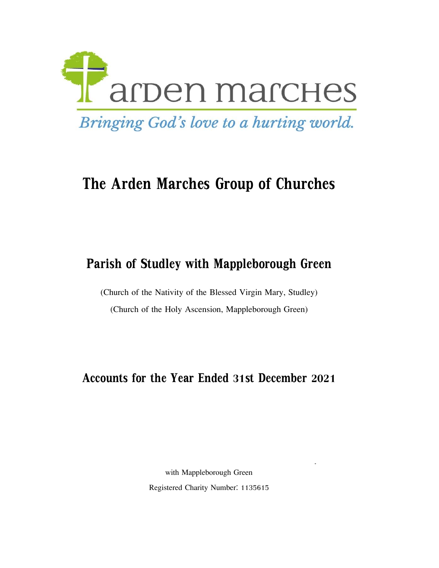

# **The Arden Marches Group of Churches**

## **Parish of Studley with Mappleborough Green**

(Church of the Nativity of the Blessed Virgin Mary, Studley) (Church of the Holy Ascension, Mappleborough Green)

**Accounts for the Year Ended 31st December 2021**

Registered Charity Number: 1135615 with Mappleborough Green

The Parochial Church Council of the Ecclesiastical Parochial Church Council of  $\mathcal{L}_\mathcal{P}$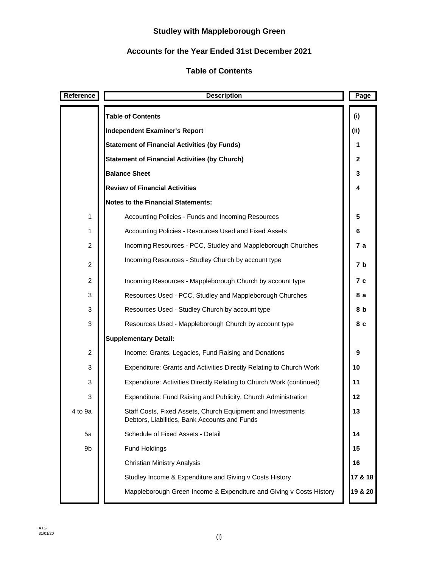## **Studley with Mappleborough Green**

## **Accounts for the Year Ended 31st December 2021**

## **Table of Contents**

| Reference      | <b>Description</b>                                                                                           | Page    |
|----------------|--------------------------------------------------------------------------------------------------------------|---------|
|                | <b>Table of Contents</b>                                                                                     | (i)     |
|                | <b>Independent Examiner's Report</b>                                                                         | (ii)    |
|                | <b>Statement of Financial Activities (by Funds)</b>                                                          | 1       |
|                | <b>Statement of Financial Activities (by Church)</b>                                                         | 2       |
|                | <b>Balance Sheet</b>                                                                                         | 3       |
|                | <b>Review of Financial Activities</b>                                                                        | 4       |
|                | <b>Notes to the Financial Statements:</b>                                                                    |         |
| 1              | Accounting Policies - Funds and Incoming Resources                                                           | 5       |
| 1              | Accounting Policies - Resources Used and Fixed Assets                                                        | 6       |
| $\overline{c}$ | Incoming Resources - PCC, Studley and Mappleborough Churches                                                 | 7 а     |
| $\overline{c}$ | Incoming Resources - Studley Church by account type                                                          | 7 b     |
| 2              | Incoming Resources - Mappleborough Church by account type                                                    | 7 с     |
| 3              | Resources Used - PCC, Studley and Mappleborough Churches                                                     | 8а      |
| 3              | Resources Used - Studley Church by account type                                                              | 8 b     |
| 3              | Resources Used - Mappleborough Church by account type                                                        | 8 c     |
|                | <b>Supplementary Detail:</b>                                                                                 |         |
| 2              | Income: Grants, Legacies, Fund Raising and Donations                                                         | 9       |
| 3              | Expenditure: Grants and Activities Directly Relating to Church Work                                          | 10      |
| 3              | Expenditure: Activities Directly Relating to Church Work (continued)                                         | 11      |
| 3              | Expenditure: Fund Raising and Publicity, Church Administration                                               | 12      |
| 4 to 9a        | Staff Costs, Fixed Assets, Church Equipment and Investments<br>Debtors, Liabilities, Bank Accounts and Funds | 13      |
| 5a             | Schedule of Fixed Assets - Detail                                                                            | 14      |
| 9b             | <b>Fund Holdings</b>                                                                                         | 15      |
|                | <b>Christian Ministry Analysis</b>                                                                           | 16      |
|                | Studley Income & Expenditure and Giving v Costs History                                                      | 17 & 18 |
|                | Mappleborough Green Income & Expenditure and Giving v Costs History                                          | 19 & 20 |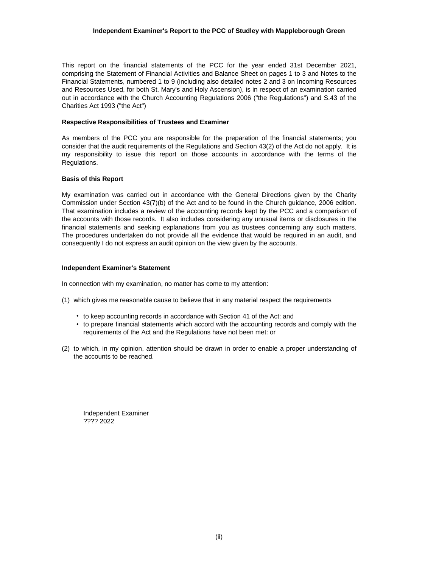#### **Independent Examiner's Report to the PCC of Studley with Mappleborough Green**

This report on the financial statements of the PCC for the year ended 31st December 2021, comprising the Statement of Financial Activities and Balance Sheet on pages 1 to 3 and Notes to the Financial Statements, numbered 1 to 9 (including also detailed notes 2 and 3 on Incoming Resources and Resources Used, for both St. Mary's and Holy Ascension), is in respect of an examination carried out in accordance with the Church Accounting Regulations 2006 ("the Regulations") and S.43 of the Charities Act 1993 ("the Act")

#### **Respective Responsibilities of Trustees and Examiner**

As members of the PCC you are responsible for the preparation of the financial statements; you consider that the audit requirements of the Regulations and Section 43(2) of the Act do not apply. It is my responsibility to issue this report on those accounts in accordance with the terms of the Regulations.

#### **Basis of this Report**

My examination was carried out in accordance with the General Directions given by the Charity Commission under Section 43(7)(b) of the Act and to be found in the Church guidance, 2006 edition. That examination includes a review of the accounting records kept by the PCC and a comparison of the accounts with those records. It also includes considering any unusual items or disclosures in the financial statements and seeking explanations from you as trustees concerning any such matters. The procedures undertaken do not provide all the evidence that would be required in an audit, and consequently I do not express an audit opinion on the view given by the accounts.

#### **Independent Examiner's Statement**

In connection with my examination, no matter has come to my attention:

- (1) which gives me reasonable cause to believe that in any material respect the requirements
	- to keep accounting records in accordance with Section 41 of the Act: and
	- to prepare financial statements which accord with the accounting records and comply with the requirements of the Act and the Regulations have not been met: or
- (2) to which, in my opinion, attention should be drawn in order to enable a proper understanding of the accounts to be reached.

Independent Examiner ???? 2022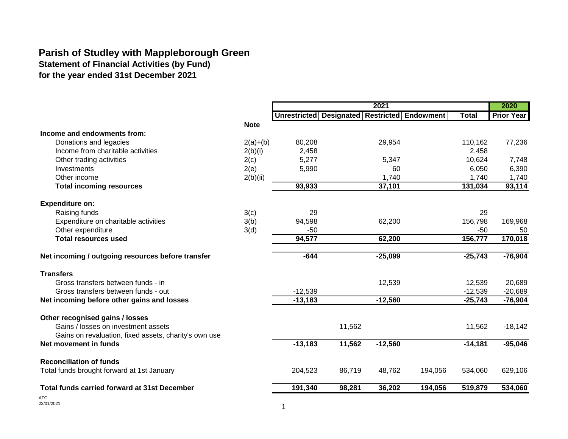## **Parish of Studley with Mappleborough Green**

**Statement of Financial Activities (by Fund)**

**for the year ended 31st December 2021**

|                                                       |             |                                                    |        | 2021      |         |              | 2020              |
|-------------------------------------------------------|-------------|----------------------------------------------------|--------|-----------|---------|--------------|-------------------|
|                                                       |             | Unrestricted   Designated   Restricted   Endowment |        |           |         | <b>Total</b> | <b>Prior Year</b> |
|                                                       | <b>Note</b> |                                                    |        |           |         |              |                   |
| Income and endowments from:                           |             |                                                    |        |           |         |              |                   |
| Donations and legacies                                | $2(a)+(b)$  | 80,208                                             |        | 29,954    |         | 110,162      | 77,236            |
| Income from charitable activities                     | 2(b)(i)     | 2,458                                              |        |           |         | 2,458        |                   |
| Other trading activities                              | 2(c)        | 5,277                                              |        | 5,347     |         | 10,624       | 7,748             |
| Investments                                           | 2(e)        | 5,990                                              |        | 60        |         | 6,050        | 6,390             |
| Other income                                          | 2(b)(ii)    |                                                    |        | 1,740     |         | 1,740        | 1,740             |
| <b>Total incoming resources</b>                       |             | 93,933                                             |        | 37,101    |         | 131,034      | 93,114            |
|                                                       |             |                                                    |        |           |         |              |                   |
| <b>Expenditure on:</b>                                |             |                                                    |        |           |         |              |                   |
| Raising funds                                         | 3(c)        | 29                                                 |        |           |         | 29           |                   |
| Expenditure on charitable activities                  | 3(b)        | 94,598                                             |        | 62,200    |         | 156,798      | 169,968           |
| Other expenditure                                     | 3(d)        | $-50$                                              |        |           |         | $-50$        | 50                |
| <b>Total resources used</b>                           |             | 94,577                                             |        | 62,200    |         | 156,777      | 170,018           |
| Net incoming / outgoing resources before transfer     |             | $-644$                                             |        | $-25,099$ |         | $-25,743$    | $-76,904$         |
| <b>Transfers</b>                                      |             |                                                    |        |           |         |              |                   |
| Gross transfers between funds - in                    |             |                                                    |        | 12,539    |         | 12,539       | 20,689            |
| Gross transfers between funds - out                   |             | $-12,539$                                          |        |           |         | $-12,539$    | $-20,689$         |
| Net incoming before other gains and losses            |             | $-13,183$                                          |        | $-12,560$ |         | $-25,743$    | $-76,904$         |
| Other recognised gains / losses                       |             |                                                    |        |           |         |              |                   |
| Gains / losses on investment assets                   |             |                                                    | 11,562 |           |         | 11,562       | $-18,142$         |
| Gains on revaluation, fixed assets, charity's own use |             |                                                    |        |           |         |              |                   |
| Net movement in funds                                 |             | $-13,183$                                          | 11,562 | $-12,560$ |         | $-14,181$    | $-95,046$         |
| <b>Reconciliation of funds</b>                        |             |                                                    |        |           |         |              |                   |
| Total funds brought forward at 1st January            |             | 204,523                                            | 86,719 | 48,762    | 194,056 | 534,060      | 629,106           |
| Total funds carried forward at 31st December          |             | 191,340                                            | 98,281 | 36,202    | 194,056 | 519,879      | 534,060           |
|                                                       |             |                                                    |        |           |         |              |                   |

ATG<br>23/01/2021  $23/01/2021$  1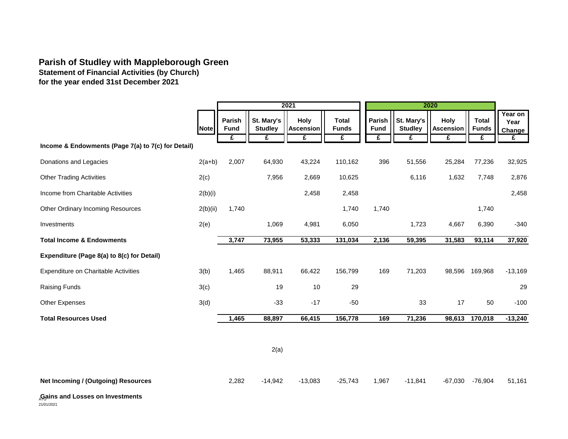## **Parish of Studley with Mappleborough Green**

**Statement of Financial Activities (by Church) for the year ended 31st December 2021**

|                                                    |             |                            |                              | 2021                                 |                                   |                            |                                   | 2020                                 |                                   |                                |
|----------------------------------------------------|-------------|----------------------------|------------------------------|--------------------------------------|-----------------------------------|----------------------------|-----------------------------------|--------------------------------------|-----------------------------------|--------------------------------|
|                                                    | <b>Note</b> | Parish<br><b>Fund</b><br>£ | St. Mary's<br><b>Studley</b> | <b>Holy</b><br><b>Ascension</b><br>£ | <b>Total</b><br><b>Funds</b><br>£ | Parish<br><b>Fund</b><br>£ | St. Mary's<br><b>Studley</b><br>£ | <b>Holy</b><br><b>Ascension</b><br>£ | <b>Total</b><br><b>Funds</b><br>£ | Year on<br>Year<br>Change<br>£ |
| Income & Endowments (Page 7(a) to 7(c) for Detail) |             |                            |                              |                                      |                                   |                            |                                   |                                      |                                   |                                |
| Donations and Legacies                             | $2(a+b)$    | 2,007                      | 64,930                       | 43,224                               | 110,162                           | 396                        | 51,556                            | 25,284                               | 77,236                            | 32,925                         |
| <b>Other Trading Activities</b>                    | 2(c)        |                            | 7,956                        | 2,669                                | 10,625                            |                            | 6,116                             | 1,632                                | 7,748                             | 2,876                          |
| Income from Charitable Activities                  | 2(b)(i)     |                            |                              | 2,458                                | 2,458                             |                            |                                   |                                      |                                   | 2,458                          |
| <b>Other Ordinary Incoming Resources</b>           | 2(b)(ii)    | 1,740                      |                              |                                      | 1,740                             | 1,740                      |                                   |                                      | 1,740                             |                                |
| Investments                                        | 2(e)        |                            | 1,069                        | 4,981                                | 6,050                             |                            | 1,723                             | 4,667                                | 6,390                             | $-340$                         |
| <b>Total Income &amp; Endowments</b>               |             | 3,747                      | 73,955                       | 53,333                               | 131,034                           | 2,136                      | 59,395                            | 31,583                               | 93,114                            | 37,920                         |
| Expenditure (Page 8(a) to 8(c) for Detail)         |             |                            |                              |                                      |                                   |                            |                                   |                                      |                                   |                                |
| Expenditure on Charitable Activities               | 3(b)        | 1,465                      | 88,911                       | 66,422                               | 156,799                           | 169                        | 71,203                            | 98,596                               | 169,968                           | $-13,169$                      |
| <b>Raising Funds</b>                               | 3(c)        |                            | 19                           | 10                                   | 29                                |                            |                                   |                                      |                                   | 29                             |
| Other Expenses                                     | 3(d)        |                            | $-33$                        | $-17$                                | $-50$                             |                            | 33                                | 17                                   | 50                                | $-100$                         |
| <b>Total Resources Used</b>                        |             | 1,465                      | 88,897                       | 66,415                               | 156,778                           | 169                        | 71,236                            | 98,613                               | 170,018                           | $-13,240$                      |

2(a)

**Net Incoming / (Outgoing) Resources** 2,282 -14,942 -13,083 -25,743 1,967 -11,841 -67,030 -76,904 51,161

## **Gains and Losses on Investments** ATG

 $21/01/2021$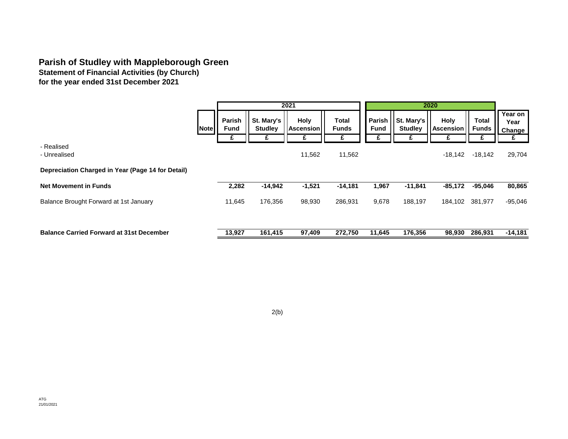## **Parish of Studley with Mappleborough Green**

**Statement of Financial Activities (by Church) for the year ended 31st December 2021**

|                                                   |                                           |                                   | 2021                                   |                            |                                   |                              | 2020                                 |                       |                                |
|---------------------------------------------------|-------------------------------------------|-----------------------------------|----------------------------------------|----------------------------|-----------------------------------|------------------------------|--------------------------------------|-----------------------|--------------------------------|
|                                                   | Parish<br><b>Fund</b><br><b>Note</b><br>£ | St. Mary's<br><b>Studley</b><br>£ | <b>Holy</b><br><b>Ascension</b> I<br>£ | Total<br><b>Funds</b><br>£ | <b>Parish</b><br><b>Fund</b><br>£ | St. Mary's<br><b>Studley</b> | <b>Holy</b><br><b>Ascension</b><br>£ | Total<br><b>Funds</b> | Year on<br>Year<br>Change<br>£ |
| - Realised<br>- Unrealised                        |                                           |                                   | 11,562                                 | 11,562                     |                                   |                              | $-18,142$                            | $-18,142$             | 29,704                         |
| Depreciation Charged in Year (Page 14 for Detail) |                                           |                                   |                                        |                            |                                   |                              |                                      |                       |                                |
| <b>Net Movement in Funds</b>                      | 2,282                                     | $-14,942$                         | $-1,521$                               | $-14,181$                  | 1,967                             | $-11,841$                    | $-85,172$                            | $-95,046$             | 80,865                         |
| Balance Brought Forward at 1st January            | 11,645                                    | 176,356                           | 98,930                                 | 286,931                    | 9,678                             | 188,197                      | 184,102                              | 381,977               | $-95,046$                      |
| <b>Balance Carried Forward at 31st December</b>   | 13,927                                    | 161,415                           | 97,409                                 | 272,750                    | 11,645                            | 176,356                      | 98,930                               | 286,931               | $-14,181$                      |

2(b)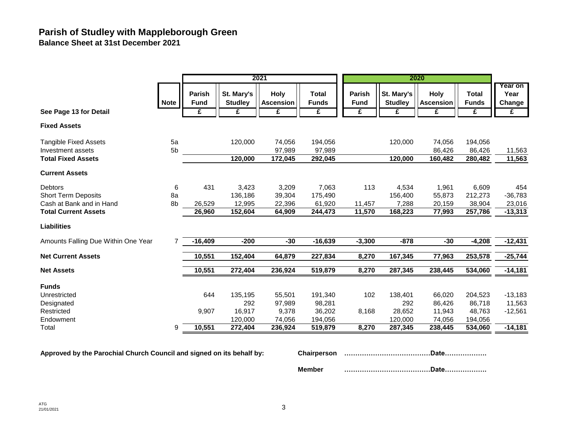## **Parish of Studley with Mappleborough Green Balance Sheet at 31st December 2021**

|                                     |             |                              |                              | 2021                            |                              |                       |                              | 2020                            |                              |                           |
|-------------------------------------|-------------|------------------------------|------------------------------|---------------------------------|------------------------------|-----------------------|------------------------------|---------------------------------|------------------------------|---------------------------|
|                                     | <b>Note</b> | <b>Parish</b><br><b>Fund</b> | St. Mary's<br><b>Studley</b> | <b>Holy</b><br><b>Ascension</b> | <b>Total</b><br><b>Funds</b> | Parish<br><b>Fund</b> | St. Mary's<br><b>Studley</b> | <b>Holy</b><br><b>Ascension</b> | <b>Total</b><br><b>Funds</b> | Year on<br>Year<br>Change |
| See Page 13 for Detail              |             | £                            | £                            | £                               | £                            | £                     | £                            | £                               | £                            | $\mathbf{f}$              |
| <b>Fixed Assets</b>                 |             |                              |                              |                                 |                              |                       |                              |                                 |                              |                           |
| <b>Tangible Fixed Assets</b>        | 5a          |                              | 120,000                      | 74,056                          | 194,056                      |                       | 120,000                      | 74,056                          | 194,056                      |                           |
| Investment assets                   | 5b          |                              |                              | 97,989                          | 97,989                       |                       |                              | 86,426                          | 86,426                       | 11,563                    |
| <b>Total Fixed Assets</b>           |             |                              | 120,000                      | 172,045                         | 292,045                      |                       | 120.000                      | 160,482                         | 280,482                      | 11,563                    |
| <b>Current Assets</b>               |             |                              |                              |                                 |                              |                       |                              |                                 |                              |                           |
| Debtors                             | 6           | 431                          | 3,423                        | 3,209                           | 7,063                        | 113                   | 4,534                        | 1,961                           | 6,609                        | 454                       |
| <b>Short Term Deposits</b>          | 8a          |                              | 136,186                      | 39,304                          | 175,490                      |                       | 156,400                      | 55,873                          | 212,273                      | $-36,783$                 |
| Cash at Bank and in Hand            | 8b          | 26,529                       | 12,995                       | 22,396                          | 61,920                       | 11,457                | 7,288                        | 20,159                          | 38,904                       | 23,016                    |
| <b>Total Current Assets</b>         |             | 26,960                       | 152,604                      | 64,909                          | 244,473                      | 11,570                | 168,223                      | 77,993                          | 257,786                      | $-13,313$                 |
| <b>Liabilities</b>                  |             |                              |                              |                                 |                              |                       |                              |                                 |                              |                           |
| Amounts Falling Due Within One Year | 7           | $-16,409$                    | $-200$                       | $-30$                           | $-16,639$                    | $-3,300$              | $-878$                       | $-30$                           | $-4,208$                     | $-12,431$                 |
| <b>Net Current Assets</b>           |             | 10,551                       | 152,404                      | 64,879                          | 227,834                      | 8,270                 | 167,345                      | 77,963                          | 253,578                      | $-25,744$                 |
| <b>Net Assets</b>                   |             | 10,551                       | 272,404                      | 236,924                         | 519,879                      | 8,270                 | 287,345                      | 238,445                         | 534,060                      | $-14,181$                 |
| <b>Funds</b>                        |             |                              |                              |                                 |                              |                       |                              |                                 |                              |                           |
| Unrestricted                        |             | 644                          | 135,195                      | 55,501                          | 191,340                      | 102                   | 138,401                      | 66,020                          | 204,523                      | $-13,183$                 |
| Designated                          |             |                              | 292                          | 97,989                          | 98,281                       |                       | 292                          | 86,426                          | 86,718                       | 11,563                    |
| Restricted                          |             | 9,907                        | 16,917                       | 9,378                           | 36,202                       | 8,168                 | 28,652                       | 11,943                          | 48,763                       | $-12,561$                 |
| Endowment                           |             |                              | 120,000                      | 74,056                          | 194,056                      |                       | 120,000                      | 74,056                          | 194,056                      |                           |
| Total                               | 9           | 10,551                       | 272,404                      | 236,924                         | 519,879                      | 8,270                 | 287,345                      | 238,445                         | 534,060                      | $-14,181$                 |

**Approved by the Parochial Church Council and signed on its behalf by: Chairperson …………………………………Date……………….**

**Member …………………………………Date……………….**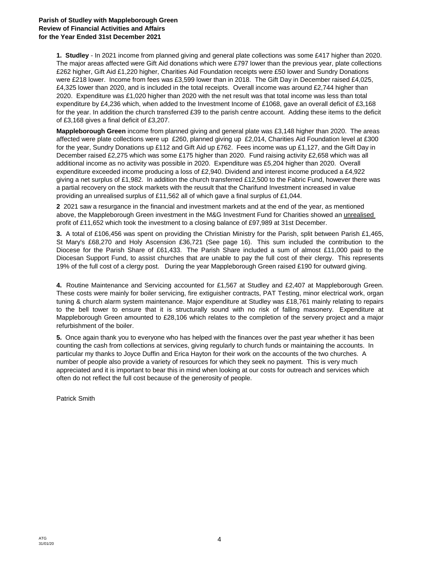#### **Parish of Studley with Mappleborough Green Review of Financial Activities and Affairs for the Year Ended 31st December 2021**

**1. Studley** - In 2021 income from planned giving and general plate collections was some £417 higher than 2020. The major areas affected were Gift Aid donations which were £797 lower than the previous year, plate collections £262 higher, Gift Aid £1,220 higher, Charities Aid Foundation receipts were £50 lower and Sundry Donations were £218 lower. Income from fees was £3,599 lower than in 2018. The Gift Day in December raised £4,025, £4,325 lower than 2020, and is included in the total receipts. Overall income was around £2,744 higher than 2020. Expenditure was £1,020 higher than 2020 with the net result was that total income was less than total expenditure by £4,236 which, when added to the Investment Income of £1068, gave an overall deficit of £3,168 for the year. In addition the church transferred £39 to the parish centre account. Adding these items to the deficit of £3,168 gives a final deficit of £3,207.

**Mappleborough Green** income from planned giving and general plate was £3,148 higher than 2020. The areas affected were plate collections were up £260, planned giving up £2,014, Charities Aid Foundation level at £300 for the year, Sundry Donations up £112 and Gift Aid up £762. Fees income was up £1,127, and the Gift Day in December raised £2,275 which was some £175 higher than 2020. Fund raising activity £2,658 which was all additional income as no activity was possible in 2020. Expenditure was £5,204 higher than 2020. Overall expenditure exceeded income producing a loss of £2,940. Dividend and interest income produced a £4,922 giving a net surplus of £1,982. In addition the church transferred £12,500 to the Fabric Fund, however there was a partial recovery on the stock markets with the reusult that the Charifund Investment increased in value providing an unrealised surplus of £11,562 all of which gave a final surplus of £1,044.

**2** 2021 saw a resurgance in the financial and investment markets and at the end of the year, as mentioned above, the Mappleborough Green investment in the M&G Investment Fund for Charities showed an unrealised profit of £11,652 which took the investment to a closing balance of £97,989 at 31st December.

**3.** A total of £106,456 was spent on providing the Christian Ministry for the Parish, split between Parish £1,465, St Mary's £68,270 and Holy Ascension £36,721 (See page 16). This sum included the contribution to the Diocese for the Parish Share of £61,433. The Parish Share included a sum of almost £11,000 paid to the Diocesan Support Fund, to assist churches that are unable to pay the full cost of their clergy. This represents 19% of the full cost of a clergy post. During the year Mappleborough Green raised £190 for outward giving.

**4.** Routine Maintenance and Servicing accounted for £1,567 at Studley and £2,407 at Mappleborough Green. These costs were mainly for boiler servicing, fire extiguisher contracts, PAT Testing, minor electrical work, organ tuning & church alarm system maintenance. Major expenditure at Studley was £18,761 mainly relating to repairs to the bell tower to ensure that it is structurally sound with no risk of falling masonery. Expenditure at Mappleborough Green amounted to £28,106 which relates to the completion of the servery project and a major refurbishment of the boiler.

**5.** Once again thank you to everyone who has helped with the finances over the past year whether it has been counting the cash from collections at services, giving regularly to church funds or maintaining the accounts. In particular my thanks to Joyce Duffin and Erica Hayton for their work on the accounts of the two churches. A number of people also provide a variety of resources for which they seek no payment. This is very much appreciated and it is important to bear this in mind when looking at our costs for outreach and services which often do not reflect the full cost because of the generosity of people.

Patrick Smith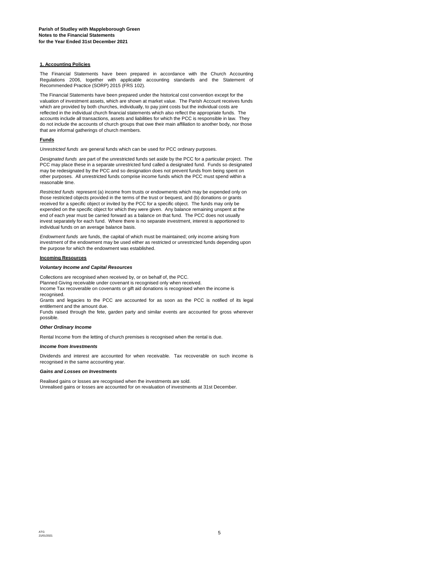#### **1. Accounting Policies**

The Financial Statements have been prepared in accordance with the Church Accounting Regulations 2006, together with applicable accounting standards and the Statement of Recommended Practice (SORP) 2015 (FRS 102).

The Financial Statements have been prepared under the historical cost convention except for the valuation of investment assets, which are shown at market value. The Parish Account receives funds which are provided by both churches, individually, to pay joint costs but the individual costs are reflected in the individual church financial statements which also reflect the appropriate funds. The accounts include all transactions, assets and liabilities for which the PCC is responsible in law. They do not include the accounts of church groups that owe their main affiliation to another body, nor those that are informal gatherings of church members.

#### **Funds**

*Unrestricted funds* are general funds which can be used for PCC ordinary purposes.

*Designated funds* are part of the unrestricted funds set aside by the PCC for a particular project. The PCC may place these in a separate unrestricted fund called a designated fund. Funds so designated may be redesignated by the PCC and so designation does not prevent funds from being spent on other purposes. All unrestricted funds comprise income funds which the PCC must spend within a reasonable time.

*Restricted funds* represent (a) income from trusts or endowments which may be expended only on those restricted objects provided in the terms of the trust or bequest, and (b) donations or grants received for a specific object or invited by the PCC for a specific object. The funds may only be expended on the specific object for which they were given. Any balance remaining unspent at the end of each year must be carried forward as a balance on that fund. The PCC does not usually invest separately for each fund. Where there is no separate investment, interest is apportioned to individual funds on an average balance basis.

*Endowment funds* are funds, the capital of which must be maintained; only income arising from investment of the endowment may be used either as restricted or unrestricted funds depending upon the purpose for which the endowment was established.

#### **Incoming Resources**

#### *Voluntary Income and Capital Resources*

Collections are recognised when received by, or on behalf of, the PCC. Planned Giving receivable under covenant is recognised only when received. Income Tax recoverable on covenants or gift aid donations is recognised when the income is recognised.

Grants and legacies to the PCC are accounted for as soon as the PCC is notified of its legal entitlement and the amount due.

Funds raised through the fete, garden party and similar events are accounted for gross wherever possible.

#### *Other Ordinary Income*

Rental Income from the letting of church premises is recognised when the rental is due.

#### *Income from Investments*

Dividends and interest are accounted for when receivable. Tax recoverable on such income is recognised in the same accounting year.

#### *Gains and Losses on Investments*

Unrealised gains or losses are accounted for on revaluation of investments at 31st December. Realised gains or losses are recognised when the investments are sold.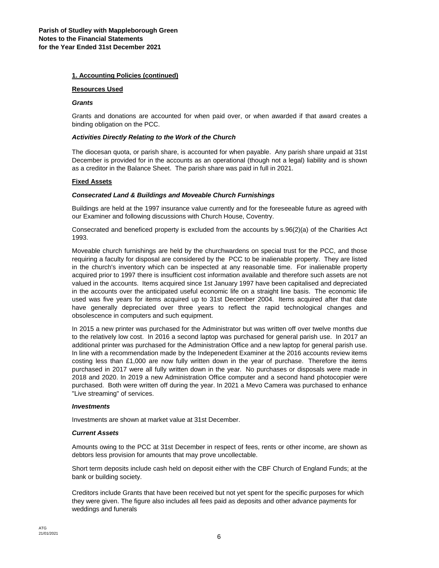#### **1. Accounting Policies (continued)**

#### **Resources Used**

#### *Grants*

Grants and donations are accounted for when paid over, or when awarded if that award creates a binding obligation on the PCC.

#### *Activities Directly Relating to the Work of the Church*

The diocesan quota, or parish share, is accounted for when payable. Any parish share unpaid at 31st December is provided for in the accounts as an operational (though not a legal) liability and is shown as a creditor in the Balance Sheet. The parish share was paid in full in 2021.

#### **Fixed Assets**

#### *Consecrated Land & Buildings and Moveable Church Furnishings*

Buildings are held at the 1997 insurance value currently and for the foreseeable future as agreed with our Examiner and following discussions with Church House, Coventry.

Consecrated and beneficed property is excluded from the accounts by s.96(2)(a) of the Charities Act 1993.

Moveable church furnishings are held by the churchwardens on special trust for the PCC, and those requiring a faculty for disposal are considered by the PCC to be inalienable property. They are listed in the church's inventory which can be inspected at any reasonable time. For inalienable property acquired prior to 1997 there is insufficient cost information available and therefore such assets are not valued in the accounts. Items acquired since 1st January 1997 have been capitalised and depreciated in the accounts over the anticipated useful economic life on a straight line basis. The economic life used was five years for items acquired up to 31st December 2004. Items acquired after that date have generally depreciated over three years to reflect the rapid technological changes and obsolescence in computers and such equipment.

In 2015 a new printer was purchased for the Administrator but was written off over twelve months due to the relatively low cost. In 2016 a second laptop was purchased for general parish use. In 2017 an additional printer was purchased for the Administration Office and a new laptop for general parish use. In line with a recommendation made by the Indepenedent Examiner at the 2016 accounts review items costing less than £1,000 are now fully written down in the year of purchase. Therefore the items purchased in 2017 were all fully written down in the year. No purchases or disposals were made in 2018 and 2020. In 2019 a new Administration Office computer and a second hand photocopier were purchased. Both were written off during the year. In 2021 a Mevo Camera was purchased to enhance "Live streaming" of services.

#### *Investments*

Investments are shown at market value at 31st December.

#### *Current Assets*

Amounts owing to the PCC at 31st December in respect of fees, rents or other income, are shown as debtors less provision for amounts that may prove uncollectable.

Short term deposits include cash held on deposit either with the CBF Church of England Funds; at the bank or building society.

Creditors include Grants that have been received but not yet spent for the specific purposes for which they were given. The figure also includes all fees paid as deposits and other advance payments for weddings and funerals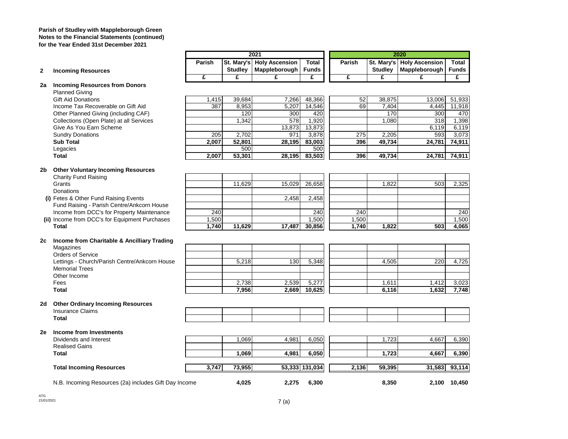**Parish of Studley with Mappleborough Green Notes to the Financial Statements (continued) for the Year Ended 31st December 2021**

|    |                                                       |        |                | 2021                      |                 |        |                | 2020                        |                |
|----|-------------------------------------------------------|--------|----------------|---------------------------|-----------------|--------|----------------|-----------------------------|----------------|
|    |                                                       | Parish |                | St. Mary's Holy Ascension | <b>Total</b>    | Parish |                | St. Mary's   Holy Ascension | Total          |
| 2  | <b>Incoming Resources</b>                             |        | <b>Studley</b> | Mappleborough             | <b>Funds</b>    |        | <b>Studley</b> | Mappleborough               | <b>Funds</b>   |
|    |                                                       | £      | £              | £                         | £               | £      | £              | £                           | £              |
| 2a | <b>Incoming Resources from Donors</b>                 |        |                |                           |                 |        |                |                             |                |
|    | <b>Planned Giving</b>                                 |        |                |                           |                 |        |                |                             |                |
|    | <b>Gift Aid Donations</b>                             | 1,415  | 39,684         | 7,266                     | 48,366          | 52     | 38,875         | 13,006                      | 51,933         |
|    | Income Tax Recoverable on Gift Aid                    | 387    | 8,953          | 5,207                     | 14,546          | 69     | 7,404          | 4,445                       | 11,918         |
|    | Other Planned Giving (including CAF)                  |        | 120            | 300                       | 420             |        | 170            | 300                         | 470            |
|    | Collections (Open Plate) at all Services              |        | 1,342          | 578                       | 1,920           |        | 1,080          | 318                         | 1,398          |
|    | Give As You Earn Scheme                               |        |                | 13,873                    | 13,873          |        |                | 6,119                       | 6,119          |
|    | <b>Sundry Donations</b>                               | 205    | 2,702          | 971                       | 3,878           | 275    | 2,205          | 593                         | 3,073          |
|    | <b>Sub Total</b>                                      | 2,007  | 52,801         | 28,195                    | 83,003          | 396    | 49,734         | 24,781                      | 74,911         |
|    | Legacies                                              |        | 500            |                           | 500             |        |                |                             |                |
|    | <b>Total</b>                                          | 2,007  | 53,301         | 28,195                    | 83,503          | 396    | 49,734         | 24,781                      | 74,911         |
| 2b | <b>Other Voluntary Incoming Resources</b>             |        |                |                           |                 |        |                |                             |                |
|    | <b>Charity Fund Raising</b>                           |        |                |                           |                 |        |                |                             |                |
|    | Grants                                                |        | 11,629         | 15,029                    | 26,658          |        | 1,822          | 503                         | 2,325          |
|    | Donations                                             |        |                |                           |                 |        |                |                             |                |
|    | (i) Fetes & Other Fund Raising Events                 |        |                | 2.458                     | 2,458           |        |                |                             |                |
|    | Fund Raising - Parish Centre/Ankcorn House            |        |                |                           |                 |        |                |                             |                |
|    | Income from DCC's for Property Maintenance            | 240    |                |                           | 240             | 240    |                |                             | 240            |
|    | (ii) Income from DCC's for Equipment Purchases        | 1,500  |                |                           | 1,500           | 1,500  |                |                             | 1,500          |
|    | <b>Total</b>                                          | 1,740  | 11,629         | 17,487                    | 30,856          | 1,740  | 1,822          | 503                         | 4,065          |
|    |                                                       |        |                |                           |                 |        |                |                             |                |
| 2с | Income from Charitable & Ancilliary Trading           |        |                |                           |                 |        |                |                             |                |
|    | Magazines                                             |        |                |                           |                 |        |                |                             |                |
|    | <b>Orders of Service</b>                              |        | 5,218          | 130                       |                 |        | 4.505          | 220                         | 4,725          |
|    | Lettings - Church/Parish Centre/Ankcorn House         |        |                |                           | 5,348           |        |                |                             |                |
|    | <b>Memorial Trees</b>                                 |        |                |                           |                 |        |                |                             |                |
|    | Other Income                                          |        |                |                           |                 |        |                |                             |                |
|    | Fees<br><b>Total</b>                                  |        | 2,738<br>7,956 | 2,539<br>2,669            | 5,277<br>10,625 |        | 1,611<br>6,116 | 1,412<br>1,632              | 3,023<br>7,748 |
|    |                                                       |        |                |                           |                 |        |                |                             |                |
| 2d | <b>Other Ordinary Incoming Resources</b>              |        |                |                           |                 |        |                |                             |                |
|    | <b>Insurance Claims</b>                               |        |                |                           |                 |        |                |                             |                |
|    | <b>Total</b>                                          |        |                |                           |                 |        |                |                             |                |
| 2е | Income from Investments                               |        |                |                           |                 |        |                |                             |                |
|    | Dividends and Interest                                |        | 1,069          | 4,981                     | 6,050           |        | 1,723          | 4,667                       | 6,390          |
|    | <b>Realised Gains</b>                                 |        |                |                           |                 |        |                |                             |                |
|    | <b>Total</b>                                          |        | 1,069          | 4,981                     | 6,050           |        | 1,723          | 4,667                       | 6,390          |
|    |                                                       |        |                |                           |                 |        |                |                             |                |
|    | <b>Total Incoming Resources</b>                       | 3,747  | 73,955         |                           | 53,333 131,034  | 2,136  | 59,395         | 31,583                      | 93,114         |
|    | N.B. Incoming Resources (2a) includes Gift Day Income |        | 4,025          | 2,275                     | 6,300           |        | 8,350          |                             | 2,100 10,450   |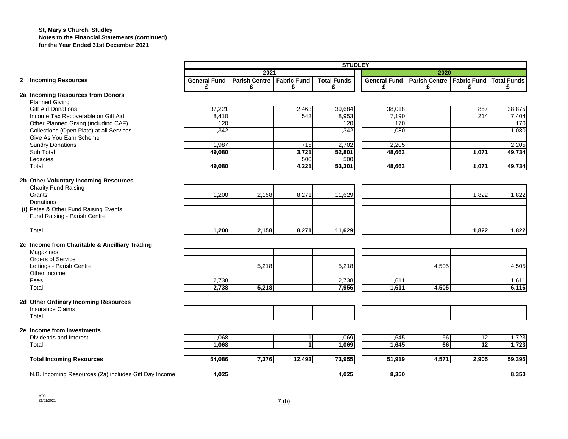#### **St, Mary's Church, Studley Notes to the Financial Statements (continued) for the Year Ended 31st December 2021**

|                                                       | <b>STUDLEY</b>      |                             |        |                    |              |                             |                 |                         |  |
|-------------------------------------------------------|---------------------|-----------------------------|--------|--------------------|--------------|-----------------------------|-----------------|-------------------------|--|
|                                                       |                     | 2021                        |        |                    |              | 2020                        |                 |                         |  |
| 2 Incoming Resources                                  | <b>General Fund</b> | Parish Centre   Fabric Fund |        | <b>Total Funds</b> | General Fund | Parish Centre   Fabric Fund |                 | <b>Total Funds</b><br>£ |  |
| 2a Incoming Resources from Donors                     | £                   | £                           | £      | £                  | £            | £                           | £               |                         |  |
| <b>Planned Giving</b>                                 |                     |                             |        |                    |              |                             |                 |                         |  |
| <b>Gift Aid Donations</b>                             | 37,221              |                             | 2,463  | 39,684             | 38,018       |                             | 857             | 38,875                  |  |
| Income Tax Recoverable on Gift Aid                    | 8,410               |                             | 543    | 8,953              | 7,190        |                             | 214             | 7,404                   |  |
| Other Planned Giving (including CAF)                  | 120                 |                             |        | 120                | 170          |                             |                 | 170                     |  |
| Collections (Open Plate) at all Services              | 1,342               |                             |        | 1,342              | 1,080        |                             |                 | 1,080                   |  |
| Give As You Earn Scheme                               |                     |                             |        |                    |              |                             |                 |                         |  |
| <b>Sundry Donations</b>                               | 1,987               |                             | 715    | 2,702              | 2,205        |                             |                 | 2,205                   |  |
| Sub Total                                             | 49,080              |                             | 3,721  | 52,801             | 48,663       |                             | 1,071           | 49,734                  |  |
| Legacies                                              |                     |                             | 500    | 500                |              |                             |                 |                         |  |
| Total                                                 | 49.080              |                             | 4,221  | 53,301             | 48.663       |                             | 1,071           | 49,734                  |  |
| 2b Other Voluntary Incoming Resources                 |                     |                             |        |                    |              |                             |                 |                         |  |
| Charity Fund Raising                                  |                     |                             |        |                    |              |                             |                 |                         |  |
| Grants                                                | 1,200               | 2,158                       | 8,271  | 11,629             |              |                             | 1,822           | 1,822                   |  |
| <b>Donations</b>                                      |                     |                             |        |                    |              |                             |                 |                         |  |
| (i) Fetes & Other Fund Raising Events                 |                     |                             |        |                    |              |                             |                 |                         |  |
| Fund Raising - Parish Centre                          |                     |                             |        |                    |              |                             |                 |                         |  |
|                                                       |                     |                             |        |                    |              |                             |                 |                         |  |
| Total                                                 | 1,200               | 2,158                       | 8,271  | 11,629             |              |                             | 1,822           | 1,822                   |  |
| 2c Income from Charitable & Ancilliary Trading        |                     |                             |        |                    |              |                             |                 |                         |  |
| Magazines                                             |                     |                             |        |                    |              |                             |                 |                         |  |
| Orders of Service                                     |                     |                             |        |                    |              |                             |                 |                         |  |
| Lettings - Parish Centre                              |                     | 5,218                       |        | 5,218              |              | 4,505                       |                 | 4,505                   |  |
| Other Income                                          |                     |                             |        |                    |              |                             |                 |                         |  |
| Fees                                                  | 2,738               |                             |        | 2,738              | 1,611        |                             |                 | 1,611                   |  |
| Total                                                 | 2,738               | 5,218                       |        | 7,956              | 1,611        | 4,505                       |                 | 6,116                   |  |
|                                                       |                     |                             |        |                    |              |                             |                 |                         |  |
| 2d Other Ordinary Incoming Resources                  |                     |                             |        |                    |              |                             |                 |                         |  |
| <b>Insurance Claims</b>                               |                     |                             |        |                    |              |                             |                 |                         |  |
| Total                                                 |                     |                             |        |                    |              |                             |                 |                         |  |
| 2e Income from Investments                            |                     |                             |        |                    |              |                             |                 |                         |  |
| Dividends and Interest                                | 1,068               |                             |        | 1,069              | 1,645        | 66                          | $\overline{12}$ | 1,723                   |  |
| Total                                                 | 1,068               |                             |        | 1,069              | 1,645        | 66                          | $\overline{12}$ | 1,723                   |  |
| <b>Total Incoming Resources</b>                       | 54,086              | 7,376                       | 12,493 | 73,955             | 51,919       | 4,571                       | 2,905           | 59,395                  |  |
|                                                       |                     |                             |        |                    |              |                             |                 |                         |  |
| N.B. Incoming Resources (2a) includes Gift Day Income | 4,025               |                             |        | 4,025              | 8,350        |                             |                 | 8,350                   |  |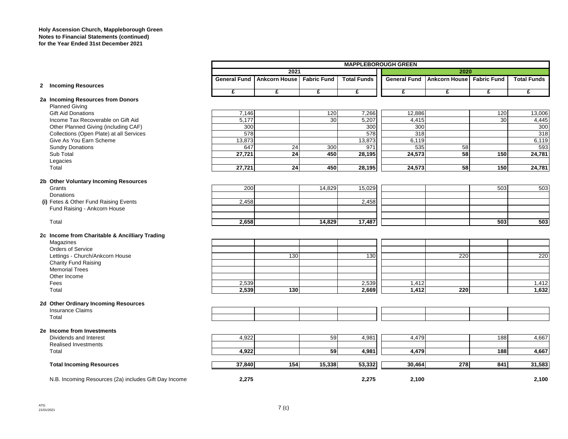#### **Holy Ascension Church, Mappleborough Green Notes to Financial Statements (continued) for the Year Ended 31st December 2021**

|                                                       |                     |                      |                    |                    | <b>MAPPLEBOROUGH GREEN</b> |                           |     |                    |
|-------------------------------------------------------|---------------------|----------------------|--------------------|--------------------|----------------------------|---------------------------|-----|--------------------|
|                                                       |                     | 2021                 |                    |                    |                            | 2020                      |     |                    |
|                                                       | <b>General Fund</b> | <b>Ankcorn House</b> | <b>Fabric Fund</b> | <b>Total Funds</b> | <b>General Fund</b>        | Ankcorn House Fabric Fund |     | <b>Total Funds</b> |
| 2 Incoming Resources                                  | £                   | £                    | £                  | £                  | £                          | £                         | £   | £                  |
| 2a Incoming Resources from Donors                     |                     |                      |                    |                    |                            |                           |     |                    |
| <b>Planned Giving</b>                                 |                     |                      |                    |                    |                            |                           |     |                    |
| <b>Gift Aid Donations</b>                             | 7,146               |                      | 120                | 7,266              | 12,886                     |                           | 120 | 13,006             |
| Income Tax Recoverable on Gift Aid                    | 5,177               |                      | 30                 | 5,207              | 4,415                      |                           | 30  | 4,445              |
| Other Planned Giving (including CAF)                  | 300                 |                      |                    | 300                | 300                        |                           |     | 300                |
| Collections (Open Plate) at all Services              | 578                 |                      |                    | 578                | 318                        |                           |     | 318                |
| Give As You Earn Scheme                               | 13,873              |                      |                    | 13,873             | 6,119                      |                           |     | 6,119              |
| <b>Sundry Donations</b>                               | 647                 | 24                   | 300                | 971                | 535                        | 58                        |     | 593                |
| Sub Total                                             | 27,721              | $\overline{24}$      | 450                | 28,195             | 24,573                     | 58                        | 150 | 24,781             |
| Legacies                                              |                     |                      |                    |                    |                            |                           |     |                    |
| Total                                                 | 27,721              | $\overline{24}$      | 450                | 28,195             | 24,573                     | 58                        | 150 | 24,781             |
| 2b Other Voluntary Incoming Resources                 |                     |                      |                    |                    |                            |                           |     |                    |
| Grants                                                | 200                 |                      | 14,829             | 15,029             |                            |                           | 503 | 503                |
| Donations                                             |                     |                      |                    |                    |                            |                           |     |                    |
| (i) Fetes & Other Fund Raising Events                 | 2,458               |                      |                    | 2,458              |                            |                           |     |                    |
| Fund Raising - Ankcorn House                          |                     |                      |                    |                    |                            |                           |     |                    |
| Total                                                 | 2,658               |                      | 14,829             | 17,487             |                            |                           | 503 | 503                |
| 2c Income from Charitable & Ancilliary Trading        |                     |                      |                    |                    |                            |                           |     |                    |
| Magazines                                             |                     |                      |                    |                    |                            |                           |     |                    |
| <b>Orders of Service</b>                              |                     |                      |                    |                    |                            |                           |     |                    |
| Lettings - Church/Ankcorn House                       |                     | 130                  |                    | 130                |                            | 220                       |     | 220                |
| <b>Charity Fund Raising</b>                           |                     |                      |                    |                    |                            |                           |     |                    |
| <b>Memorial Trees</b>                                 |                     |                      |                    |                    |                            |                           |     |                    |
| Other Income                                          |                     |                      |                    |                    |                            |                           |     |                    |
| Fees                                                  | 2,539               |                      |                    | 2,539              | 1,412                      |                           |     | 1,412              |
| Total                                                 | 2,539               | 130                  |                    | 2,669              | 1,412                      | 220                       |     | 1,632              |
| 2d Other Ordinary Incoming Resources                  |                     |                      |                    |                    |                            |                           |     |                    |
| <b>Insurance Claims</b>                               |                     |                      |                    |                    |                            |                           |     |                    |
| Total                                                 |                     |                      |                    |                    |                            |                           |     |                    |
| 2e Income from Investments                            |                     |                      |                    |                    |                            |                           |     |                    |
| Dividends and Interest                                | 4,922               |                      | 59                 | 4,981              | 4,479                      |                           | 188 | 4,667              |
| <b>Realised Investments</b>                           |                     |                      |                    |                    |                            |                           |     |                    |
| Total                                                 | 4,922               |                      | 59                 | 4,981              | 4,479                      |                           | 188 | 4,667              |
| <b>Total Incoming Resources</b>                       | 37,840              | 154                  | 15,338             | 53,332             | 30,464                     | $\overline{278}$          | 841 | 31,583             |
| N.B. Incoming Resources (2a) includes Gift Day Income | 2,275               |                      |                    | 2,275              | 2,100                      |                           |     | 2,100              |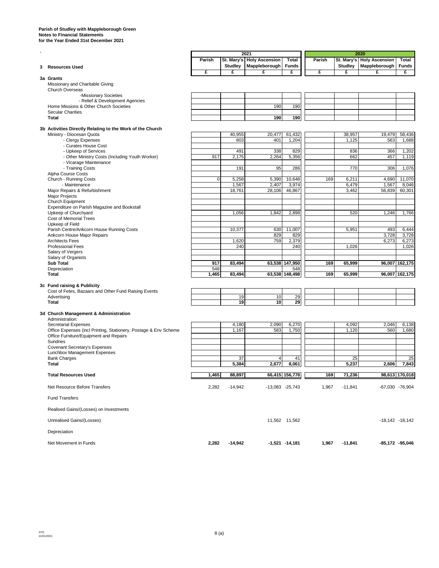#### **Parish of Studley with Mappleborough Green Notes to Financial Statements for the Year Ended 31st December 2021**

**`**

|                                                                                                            | Parish       |              | St. Mary's   Holy Ascension | Total                 | Parish |                | St. Mary's   Holy Ascension | Total               |
|------------------------------------------------------------------------------------------------------------|--------------|--------------|-----------------------------|-----------------------|--------|----------------|-----------------------------|---------------------|
| 3 Resources Used                                                                                           | £            | Studley<br>£ | Mappleborough<br>£          | <b>Funds</b><br>£     | £      | Studley<br>£   | Mappleborough<br>£          | <b>Funds</b><br>£   |
| 3a Grants                                                                                                  |              |              |                             |                       |        |                |                             |                     |
| Missionary and Charitable Giving                                                                           |              |              |                             |                       |        |                |                             |                     |
| <b>Church Overseas</b><br>-Missionary Societies                                                            |              |              |                             |                       |        |                |                             |                     |
| - Relief & Development Agencies                                                                            |              |              |                             |                       |        |                |                             |                     |
| Home Missions & Other Church Societies                                                                     |              |              | 190                         | 190                   |        |                |                             |                     |
| <b>Secular Charities</b><br><b>Total</b>                                                                   |              |              | 190                         | 190                   |        |                |                             |                     |
|                                                                                                            |              |              |                             |                       |        |                |                             |                     |
| 3b Activities Directly Relating to the Work of the Church<br>Ministry - Diocesan Quota                     |              | 40,955       | 20,477                      | 61,432                |        | 38,957         | 19,479                      | 58,436              |
| - Clergy Expenses                                                                                          |              | 803          | 401                         | 1,204                 |        | 1,125          | 563                         | 1,688               |
| - Curates House Cost                                                                                       |              |              |                             |                       |        |                |                             |                     |
| - Upkeep of Services<br>- Other Ministry Costs (Including Youth Worker)                                    | 917          | 491<br>2,175 | 338<br>2,264                | 829<br>5,356          |        | 836<br>662     | 366<br>457                  | 1,202<br>1,119      |
| - Vicarage Maintenance                                                                                     |              |              |                             |                       |        |                |                             |                     |
| - Training Costs                                                                                           |              | 191          | 95                          | 286                   |        | 770            | 306                         | 1,076               |
| Alpha Course Costs<br>Church - Running Costs                                                               | $\mathbf 0$  | 5,258        | 5,390                       |                       | 169    |                | 4,690                       | 11,070              |
| - Maintenance                                                                                              |              | 1,567        | 2,407                       | 10,648<br>3,974       |        | 6,211<br>6,479 | 1,567                       | 8,046               |
| Major Repairs & Refurbishment                                                                              |              | 18,761       | 28,106                      | 46,867                |        | 3,462          | 56,839                      | 60,301              |
| <b>Major Projects</b>                                                                                      |              |              |                             |                       |        |                |                             |                     |
| Church Equipment<br>Expenditure on Parish Magazine and Bookstall                                           |              |              |                             |                       |        |                |                             |                     |
| Upkeep of Churchyard                                                                                       |              | 1,056        | 1,842                       | 2,898                 |        | 520            | 1,246                       | 1,766               |
| Cost of Memorial Trees                                                                                     |              |              |                             |                       |        |                |                             |                     |
| Upkeep of Field<br>Parish Centre/Ankcorn House Running Costs                                               |              | 10,377       | 630                         | 11,007                |        | 5,951          | 493                         | 6,444               |
| Ankcorn House Major Repairs                                                                                |              |              | 829                         | 829                   |        |                | 3,728                       | 3,728               |
| <b>Architects Fees</b>                                                                                     |              | 1,620        | 759                         | 2,379                 |        |                | 6,273                       | 6,273               |
| <b>Professional Fees</b><br>Salary of Vergers                                                              |              | 240          |                             | 240                   |        | 1,026          |                             | 1,026               |
| Salary of Organists                                                                                        |              |              |                             |                       |        |                |                             |                     |
| <b>Sub Total</b>                                                                                           | 917          | 83,494       |                             | 63,538 147,950        | 169    | 65,999         |                             | 96,007 162,175      |
| Depreciation<br>Total                                                                                      | 548<br>1,465 | 83,494       |                             | 548<br>63,538 148,498 | 169    | 65,999         |                             | 96,007 162,175      |
|                                                                                                            |              |              |                             |                       |        |                |                             |                     |
| 3c Fund raising & Publicity<br>Cost of Fetes, Bazaars and Other Fund Raising Events                        |              |              |                             |                       |        |                |                             |                     |
| Advertising                                                                                                |              | 19           | 10                          | 29                    |        |                |                             |                     |
| <b>Total</b>                                                                                               |              | 19           | 10                          | 29                    |        |                |                             |                     |
| 3d Church Management & Administration                                                                      |              |              |                             |                       |        |                |                             |                     |
| Administration:                                                                                            |              |              |                             |                       |        |                |                             |                     |
| <b>Secretarial Expenses</b>                                                                                |              | 4,180        | 2,090                       | 6,270                 |        | 4,092          | 2,046                       | 6,138               |
| Office Expenses (incl Printing, Stationery, Postage & Env Scheme<br>Office Furniture/Equipment and Repairs |              | 1,167        | 583                         | 1,750                 |        | 1,120          | 560                         | 1,680               |
| Sundries                                                                                                   |              |              |                             |                       |        |                |                             |                     |
| Covenant Secretary's Expenses                                                                              |              |              |                             |                       |        |                |                             |                     |
| Lunchbox Management Expenses<br><b>Bank Charges</b>                                                        |              | 37           | 4                           | 41                    |        | 25             |                             | 25                  |
| Total                                                                                                      |              | 5,384        | 2,677                       | 8,061                 |        | 5,237          | 2,606                       | 7,843               |
| <b>Total Resources Used</b>                                                                                | 1,465        | 88,897       |                             | 66,415 156,778        | 169    | 71,236         |                             | 98,613 170,018      |
| Net Resource Before Transfers                                                                              | 2,282        | $-14,942$    |                             | $-13,083 -25,743$     | 1,967  | $-11,841$      |                             | -67,030 -76,904     |
| <b>Fund Transfers</b>                                                                                      |              |              |                             |                       |        |                |                             |                     |
| Realised Gains/(Losses) on Investments                                                                     |              |              |                             |                       |        |                |                             |                     |
| Unrealised Gains/(Losses)                                                                                  |              |              |                             | 11,562 11,562         |        |                |                             | $-18,142$ $-18,142$ |
| Depreciation                                                                                               |              |              |                             |                       |        |                |                             |                     |
| Net Movement in Funds                                                                                      | 2,282        | $-14,942$    |                             | $-1,521 -14,181$      | 1,967  | $-11,841$      |                             | -85,172 -95,046     |

**2021 2020**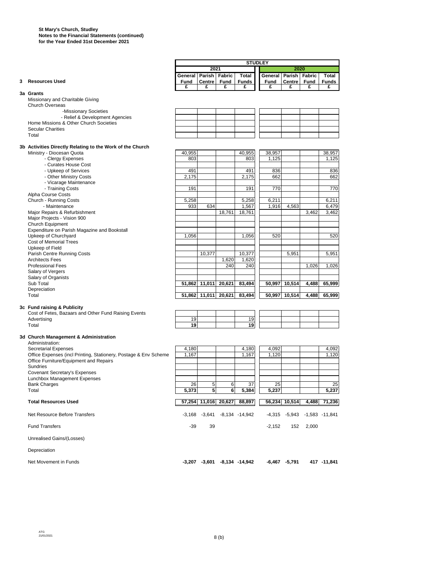|                                                                  |         |                   |                                      |                   | <b>STUDLEY</b>        |               |                              |                  |
|------------------------------------------------------------------|---------|-------------------|--------------------------------------|-------------------|-----------------------|---------------|------------------------------|------------------|
|                                                                  |         | 2021              |                                      |                   |                       | 2020          |                              |                  |
|                                                                  | General | <b>Parish</b>     | Fabric                               | Total             | General Parish Fabric |               |                              | Total            |
| 3 Resources Used                                                 | Fund    | Centre            | Fund                                 | <b>Funds</b>      | Fund                  | <b>Centre</b> | Fund                         | <b>Funds</b>     |
| 3a Grants<br>Missionary and Charitable Giving                    | £       | £                 | £                                    | £                 | £                     | £             | £                            | £                |
| Church Overseas                                                  |         |                   |                                      |                   |                       |               |                              |                  |
| -Missionary Societies                                            |         |                   |                                      |                   |                       |               |                              |                  |
| - Relief & Development Agencies                                  |         |                   |                                      |                   |                       |               |                              |                  |
| Home Missions & Other Church Societies                           |         |                   |                                      |                   |                       |               |                              |                  |
| <b>Secular Charities</b>                                         |         |                   |                                      |                   |                       |               |                              |                  |
| Total                                                            |         |                   |                                      |                   |                       |               |                              |                  |
| 3b Activities Directly Relating to the Work of the Church        |         |                   |                                      |                   |                       |               |                              |                  |
| Ministry - Diocesan Quota                                        | 40,955  |                   |                                      | 40.955            | 38,957                |               |                              | 38,957           |
| - Clergy Expenses                                                | 803     |                   |                                      | 803               | 1,125                 |               |                              | 1,125            |
| - Curates House Cost                                             |         |                   |                                      |                   |                       |               |                              |                  |
| - Upkeep of Services                                             | 491     |                   |                                      | 491               | 836                   |               |                              | 836              |
| - Other Ministry Costs                                           | 2,175   |                   |                                      | 2,175             | 662                   |               |                              | 662              |
| - Vicarage Maintenance                                           |         |                   |                                      |                   |                       |               |                              |                  |
| - Training Costs                                                 | 191     |                   |                                      | 191               | 770                   |               |                              | 770              |
| Alpha Course Costs                                               |         |                   |                                      |                   |                       |               |                              |                  |
| Church - Running Costs                                           | 5,258   |                   |                                      | 5,258             | 6,211                 |               |                              | 6,211            |
| - Maintenance                                                    | 933     | 634               |                                      | 1,567             | 1,916                 | 4,563         |                              | 6,479            |
| Major Repairs & Refurbishment                                    |         |                   | 18,761                               | 18,761            |                       |               | 3,462                        | 3,462            |
| Major Projects - Vision 900                                      |         |                   |                                      |                   |                       |               |                              |                  |
| Church Equipment<br>Expenditure on Parish Magazine and Bookstall |         |                   |                                      |                   |                       |               |                              |                  |
| Upkeep of Churchyard                                             | 1,056   |                   |                                      | 1,056             | 520                   |               |                              | $\overline{520}$ |
| <b>Cost of Memorial Trees</b>                                    |         |                   |                                      |                   |                       |               |                              |                  |
| Upkeep of Field                                                  |         |                   |                                      |                   |                       |               |                              |                  |
| Parish Centre Running Costs                                      |         | 10,377            |                                      | 10,377            |                       | 5,951         |                              | 5,951            |
| <b>Architects Fees</b>                                           |         |                   | 1,620                                | 1,620             |                       |               |                              |                  |
| <b>Professional Fees</b>                                         |         |                   | 240                                  | 240               |                       |               | 1,026                        | 1,026            |
| Salary of Vergers                                                |         |                   |                                      |                   |                       |               |                              |                  |
| Salary of Organists                                              |         |                   |                                      |                   |                       |               |                              |                  |
| Sub Total                                                        | 51,862  | 11,011            | 20,621                               | 83,494            | 50,997                | 10,514        | 4,488                        | 65,999           |
| Depreciation                                                     |         |                   |                                      |                   |                       |               |                              |                  |
| Total                                                            | 51,862  | 11,011            | 20,621                               | 83,494            | 50,997                | 10,514        | 4,488                        | 65,999           |
| 3c Fund raising & Publicity                                      |         |                   |                                      |                   |                       |               |                              |                  |
| Cost of Fetes, Bazaars and Other Fund Raising Events             |         |                   |                                      |                   |                       |               |                              |                  |
| Advertising                                                      | 19      |                   |                                      | 19                |                       |               |                              |                  |
| Total                                                            | 19      |                   |                                      | 19                |                       |               |                              |                  |
|                                                                  |         |                   |                                      |                   |                       |               |                              |                  |
| 3d Church Management & Administration                            |         |                   |                                      |                   |                       |               |                              |                  |
| Administration:                                                  |         |                   |                                      |                   |                       |               |                              |                  |
| <b>Secretarial Expenses</b>                                      | 4,180   |                   |                                      | 4,180             | 4,092                 |               |                              | 4,092            |
| Office Expenses (incl Printing, Stationery, Postage & Env Scheme | 1,167   |                   |                                      | 1,167             | 1,120                 |               |                              | 1,120            |
| Office Furniture/Equipment and Repairs                           |         |                   |                                      |                   |                       |               |                              |                  |
| Sundries<br><b>Covenant Secretary's Expenses</b>                 |         |                   |                                      |                   |                       |               |                              |                  |
| <b>Lunchbox Management Expenses</b>                              |         |                   |                                      |                   |                       |               |                              |                  |
| <b>Bank Charges</b>                                              | 26      | 5                 | 6                                    | 37                | 25                    |               |                              | 25               |
| Total                                                            | 5,373   | 5                 | 6                                    | 5,384             | 5,237                 |               |                              | 5,237            |
|                                                                  |         |                   |                                      |                   |                       |               |                              |                  |
| <b>Total Resources Used</b>                                      |         | 57,254 11,016     | 20,627                               | 88,897            |                       | 56,234 10,514 | 4,488                        | 71,236           |
| Net Resource Before Transfers                                    |         | $-3,168$ $-3,641$ |                                      | $-8,134 - 14,942$ |                       |               | -4,315 -5,943 -1,583 -11,841 |                  |
| <b>Fund Transfers</b>                                            | $-39$   | 39                |                                      |                   | $-2,152$              | 152           | 2,000                        |                  |
| Unrealised Gains/(Losses)                                        |         |                   |                                      |                   |                       |               |                              |                  |
| Depreciation                                                     |         |                   |                                      |                   |                       |               |                              |                  |
| Net Movement in Funds                                            |         |                   | $-3,207$ $-3,601$ $-8,134$ $-14,942$ |                   |                       | -6,467 -5,791 |                              | 417 - 11,841     |

┓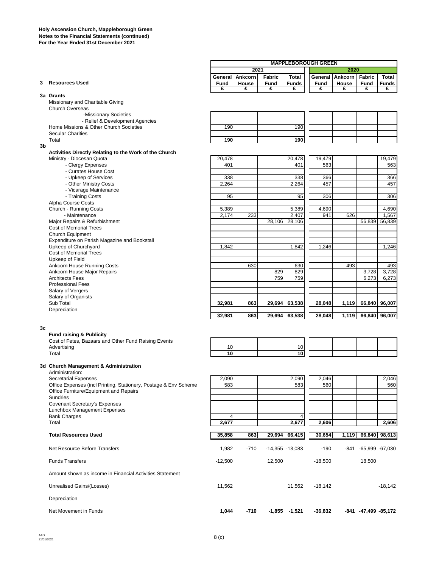|                                  | <b>MAPPLEBOROUGH GREEN</b>         |       |             |              |      |                        |             |              |
|----------------------------------|------------------------------------|-------|-------------|--------------|------|------------------------|-------------|--------------|
|                                  | 2021                               |       |             |              | 2020 |                        |             |              |
|                                  | Fabric<br>Total<br>General Ankcorn |       |             |              |      | General Ankcorn Fabric |             | Total        |
| 3 Resources Used                 | Fund                               | House | <b>Fund</b> | <b>Funds</b> | Fund | House                  | <b>Fund</b> | <b>Funds</b> |
|                                  |                                    |       |             |              |      |                        |             |              |
| 3a Grants                        |                                    |       |             |              |      |                        |             |              |
| Missionary and Charitable Giving |                                    |       |             |              |      |                        |             |              |
| Church Overseas                  |                                    |       |             |              |      |                        |             |              |

-Missionary Societies

 - Relief & Development Agencies Home Missions & Other Church Societies 190 190

Secular Charities

Total **190 190**

**3b**

| Activities Directly Relating to the Work of the Church |        |        |        |        |
|--------------------------------------------------------|--------|--------|--------|--------|
| Ministry - Diocesan Quota                              | 20.478 | 20.478 | 19.479 | 19.479 |
| <b>Clergy Expenses</b>                                 | 401    | 401    | 563    | 563    |

- Curates House Cost

- 
- Upkeep of Services 338 338 366 366 - Other Ministry Costs
- Vicarage Maintenance

- Training Costs 95 95 306 306

Alpha Course Costs

Church - Running Costs **5,389** 5,389 5,389 4,690 4,690 4,690 4,690 4,690 4,690 4,690 4,690 4,690 4,690 4,690 4,690 4,690 4,690 4,690 4,690 4,690 4,690 4,690 4,690 4,690 4,690 4,690 4,690 4,690 4,690 4,690 4,690 4,690 4,690

 - Maintenance 2,174 233 2,407 941 626 1,567 Major Repairs & Refurbishment 28,106 28,106 28,106 28,106 56,839 56,839

Cost of Memorial Trees

Church Equipment

Expenditure on Parish Magazine and Bookstall

- Upkeep of Churchyard 1,842 1,842 1,842 1,842 1,842 1,246 1,246
- Cost of Memorial Trees Upkeep of Field
- 
- Ankcorn House Major Repairs

| <b>OUSLOF MIGHTUHUL FIGGS</b> |        |     |     |               |        |       |               |       |
|-------------------------------|--------|-----|-----|---------------|--------|-------|---------------|-------|
| Upkeep of Field               |        |     |     |               |        |       |               |       |
| Ankcorn House Running Costs   |        | 630 |     | 630           |        | 493   |               | 493   |
| Ankcorn House Major Repairs   |        |     | 829 | 829           |        |       | 3.728         | 3,728 |
| <b>Architects Fees</b>        |        |     | 759 | 759           |        |       | 6,273         | 6,273 |
| <b>Professional Fees</b>      |        |     |     |               |        |       |               |       |
| Salary of Vergers             |        |     |     |               |        |       |               |       |
| Salary of Organists           |        |     |     |               |        |       |               |       |
| Sub Total                     | 32.981 | 863 |     | 29,694 63,538 | 28.048 | 1,119 | 66.840 96.007 |       |
| Depreciation                  |        |     |     |               |        |       |               |       |
|                               | 32.981 | 863 |     | 29,694 63,538 | 28.048 | 1.119 | 66,840 96,007 |       |

#### **3c**

**Fund raising & Publicity**

| Cost of Fetes, Bazaars and Other Fund Raising Events |  |  |
|------------------------------------------------------|--|--|
| Advertising                                          |  |  |
| __                                                   |  |  |

| Cost of Fetes, Bazaars and Other Fund Raising Events |    |  |    |  |  |
|------------------------------------------------------|----|--|----|--|--|
| Advertisina                                          |    |  | 10 |  |  |
| Total                                                | 10 |  | 10 |  |  |

## **3d Church Management & Administration**

Administration:

| <b>Secretarial Expenses</b>                                      | 2,090     |        |                   | 2,090         | 2,046     |       |                 | 2,046     |
|------------------------------------------------------------------|-----------|--------|-------------------|---------------|-----------|-------|-----------------|-----------|
| Office Expenses (incl Printing, Stationery, Postage & Env Scheme | 583       |        |                   | 583           | 560       |       |                 | 560       |
| Office Furniture/Equipment and Repairs                           |           |        |                   |               |           |       |                 |           |
| <b>Sundries</b>                                                  |           |        |                   |               |           |       |                 |           |
| <b>Covenant Secretary's Expenses</b>                             |           |        |                   |               |           |       |                 |           |
| Lunchbox Management Expenses                                     |           |        |                   |               |           |       |                 |           |
| <b>Bank Charges</b>                                              | 4         |        |                   | 4             |           |       |                 |           |
| Total                                                            | 2,677     |        |                   | 2,677         | 2,606     |       |                 | 2.606     |
|                                                                  |           |        |                   |               |           |       |                 |           |
| <b>Total Resources Used</b>                                      | 35,858    | 863    |                   | 29,694 66,415 | 30,654    | 1,119 | 66,840 98,613   |           |
|                                                                  |           |        |                   |               |           |       |                 |           |
| Net Resource Before Transfers                                    | 1,982     | $-710$ | $-14,355 -13,083$ |               | $-190$    | -841  | -65.999 -67.030 |           |
|                                                                  |           |        |                   |               |           |       |                 |           |
| <b>Funds Transfers</b>                                           | $-12,500$ |        | 12,500            |               | $-18,500$ |       | 18,500          |           |
| Amount shown as income in Financial Activities Statement         |           |        |                   |               |           |       |                 |           |
| Unrealised Gains/(Losses)                                        | 11,562    |        |                   | 11,562        | $-18,142$ |       |                 | $-18,142$ |
|                                                                  |           |        |                   |               |           |       |                 |           |

Depreciation

Net Movement in Funds **1,044 -710 -1,855 -1,521 -36,832 -841 -47,499 -85,172**

ATG<br>21/01/2021  $21/01/2021$   $8~(c)$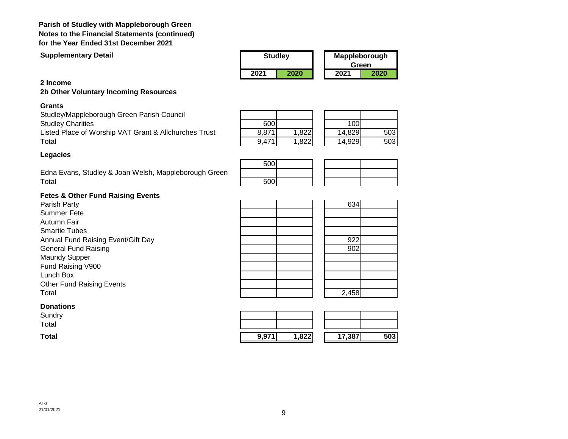## **Parish of Studley with Mappleborough Green Notes to the Financial Statements (continued) for the Year Ended 31st December 2021**

**Supplementary Detail**

| <b>Studley</b> |      | Mappleborough<br>Green |      |
|----------------|------|------------------------|------|
| 2021           | 2020 | 2021                   | 2020 |

## **2 Income**

## **2b Other Voluntary Incoming Resources**

## **Grants**

Studley/Mappleborough Green Parish Council **Studley Charities** Listed Place of Worship VAT Grant & Allchurches Trust Total 9,471 1,822 14,929 503

| 600   |      | 100    |     |
|-------|------|--------|-----|
| 8,871 | ,822 | 14,829 | 503 |
| 9,47' |      | 14,929 | 503 |

500

## **Legacies**

Edna Evans, Studley & Joan Welsh, Mappleborough Green Total 500

## **Fetes & Other Fund Raising Events**

Parish Party **634** Summer Fete Autumn Fair Smartie Tubes Annual Fund Raising Event/Gift Day **1988 Contract Contract Contract Contract Contract Contract Contract Contract Contract Contract Contract Contract Contract Contract Contract Contract Contract Contract Contract Contract** General Fund Raising 802 Maundy Supper Fund Raising V900 Lunch Box Other Fund Raising Events Total 2,458

| <b>Donations</b> |
|------------------|
|------------------|

Sundry Total

| Sundry<br>Total |                  |       |        |     |
|-----------------|------------------|-------|--------|-----|
| Total           | Q Q 74<br>9.97 I | 1,822 | 17,387 | 503 |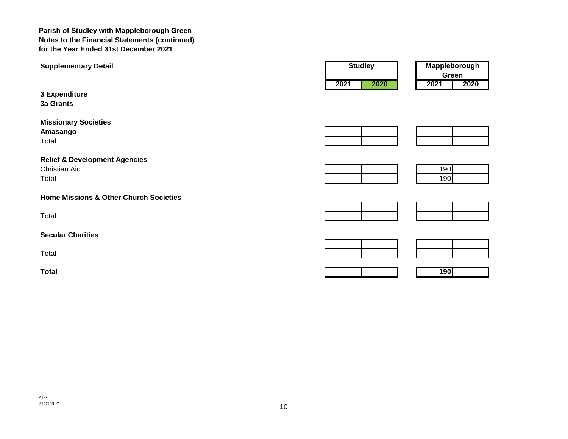**Parish of Studley with Mappleborough Green Notes to the Financial Statements (continued) for the Year Ended 31st December 2021**

| <b>Supplementary Detail</b>                                        | <b>Studley</b> | Mappleborough<br>Green |
|--------------------------------------------------------------------|----------------|------------------------|
| 3 Expenditure<br>3a Grants                                         | 2020<br>2021   | 2020<br>2021           |
| <b>Missionary Societies</b><br>Amasango<br>Total                   |                |                        |
| <b>Relief &amp; Development Agencies</b><br>Christian Aid<br>Total |                | 190<br>190             |
| <b>Home Missions &amp; Other Church Societies</b>                  |                |                        |
| Total                                                              |                |                        |
| <b>Secular Charities</b>                                           |                |                        |
| Total                                                              |                |                        |
| <b>Total</b>                                                       |                | 190                    |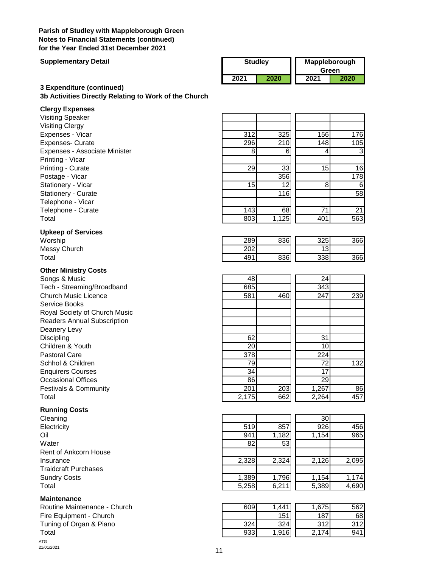## **Parish of Studley with Mappleborough Green Notes to Financial Statements (continued) for the Year Ended 31st December 2021**

#### **Supplementary Detail**

| <b>Studley</b> |      | Mappleborough<br>Green |      |
|----------------|------|------------------------|------|
| 2021           | 2020 | 2021                   | 2020 |

## **3 Expenditure (continued) 3b Activities Directly Relating to Work of the Church**

#### **Clergy Expenses**

## **Upkeep of Services**

## **Other Ministry Costs**

## **Running Costs**

## **Maintenance**

Routine Maintenance - Church Fire Equipment - Church Tuning of Organ & Piano ATG<br>21/01/2021  $21/01/2021$  11

| 312 | 325   | 156 | 176 |
|-----|-------|-----|-----|
| 296 | 210   | 148 | 105 |
| 8   | 6     | 4   | -3  |
|     |       |     |     |
| 29  | 33    | 15  | 16  |
|     | 356   |     | 178 |
| 15  | 12    | 8   | 6   |
|     | 116   |     | 58  |
|     |       |     |     |
| 143 | 68    | 71  | 21  |
| 803 | 1,125 | 401 | 563 |
|     |       |     |     |

| Worship      | 289 | 836 | つつに<br>ں∠ں | 366 |
|--------------|-----|-----|------------|-----|
| Messy Church | 202 |     | ∽<br>ັ     |     |
| Total        | 491 | 836 | 338        | 366 |
|              |     |     |            |     |

| Songs & Music                      | 48        |     | 24    |     |
|------------------------------------|-----------|-----|-------|-----|
| Tech - Streaming/Broadband         | 685       |     | 343   |     |
| <b>Church Music Licence</b>        | 581       | 460 | 247   | 239 |
| Service Books                      |           |     |       |     |
| Royal Society of Church Music      |           |     |       |     |
| <b>Readers Annual Subscription</b> |           |     |       |     |
| Deanery Levy                       |           |     |       |     |
| Discipling                         | 62        |     | 31    |     |
| Children & Youth                   | <b>20</b> |     | 10    |     |
| <b>Pastoral Care</b>               | 378       |     | 224   |     |
| Schhol & Children                  | 79        |     | 72    | 132 |
| <b>Enquirers Courses</b>           | 34        |     | 17    |     |
| <b>Occasional Offices</b>          | 86        |     | 29    |     |
| <b>Festivals &amp; Community</b>   | 201       | 203 | 1,267 | 86  |
| Total                              | 2,175     | 662 | 2,264 | 457 |

| Cleaning                     |       |       | 30 <sub>1</sub> |       |
|------------------------------|-------|-------|-----------------|-------|
| Electricity                  | 519   | 857   | 926             | 456   |
| Oil                          | 941   | 1,182 | 1,154           | 965   |
| Water                        | 82    | 53    |                 |       |
| <b>Rent of Ankcorn House</b> |       |       |                 |       |
| Insurance                    | 2,328 | 2,324 | 2,126           | 2,095 |
| <b>Traidcraft Purchases</b>  |       |       |                 |       |
| <b>Sundry Costs</b>          | 1,389 | 1,796 | 1.154           | 1,174 |
| Total                        | 5,258 | 6,211 | 5,389           | 4,690 |
|                              |       |       |                 |       |

| Routine Maintenance - Church | 609 | . 441. | 1.675 | 562 |
|------------------------------|-----|--------|-------|-----|
| Fire Equipment - Church      |     | 151    | 187   | 68  |
| Tuning of Organ & Piano      | 324 | 324    | 312   | 312 |
| Total                        | 933 | 1.916  | 174   | 941 |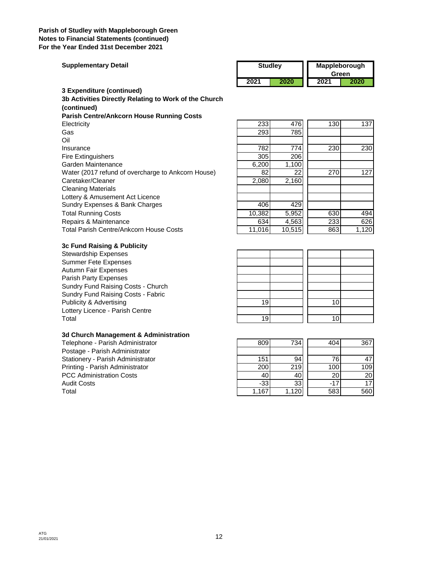#### **Parish of Studley with Mappleborough Green Notes to Financial Statements (continued) For the Year Ended 31st December 2021**

| <b>Supplementary Detail</b> | <b>Studlev</b> |      | <b>Mappleborough</b><br>Green |      |  |
|-----------------------------|----------------|------|-------------------------------|------|--|
|                             | 2021           | 2020 | 2021                          | 2020 |  |
| 3 Expenditure (continued)   |                |      |                               |      |  |

**Parish Centre/Ankcorn House Running Costs** Electricity 233 476 130 137 Gas 293 785 Oil Insurance 782 774 230 230 Fire Extinguishers Garden Maintenance Water (2017 refund of overcharge to Ankcorn House) Caretaker/Cleaner Cleaning Materials Lottery & Amusement Act Licence Sundry Expenses & Bank Charges **Total Running Costs** Repairs & Maintenance Total Parish Centre/Ankcorn House Costs **3b Activities Directly Relating to Work of the Church (continued)**

#### **3c Fund Raising & Publicity**

#### **3d Church Management & Administration**

| 233    | 476    | 130 | 137   |
|--------|--------|-----|-------|
| 293    | 785    |     |       |
|        |        |     |       |
| 782    | 774    | 230 | 230   |
| 305    | 206    |     |       |
| 6,200  | 1,100  |     |       |
| 82     | 22     | 270 | 127   |
| 2,080  | 2,160  |     |       |
|        |        |     |       |
|        |        |     |       |
| 406    | 429    |     |       |
| 10,382 | 5,952  | 630 | 494   |
| 634    | 4,563  | 233 | 626   |
| 11,016 | 10,515 | 863 | 1,120 |

| <b>Stewardship Expenses</b>        |    |    |
|------------------------------------|----|----|
| Summer Fete Expenses               |    |    |
| Autumn Fair Expenses               |    |    |
| Parish Party Expenses              |    |    |
| Sundry Fund Raising Costs - Church |    |    |
| Sundry Fund Raising Costs - Fabric |    |    |
| Publicity & Advertising            | 19 | 10 |
| Lottery Licence - Parish Centre    |    |    |
| Total                              | 19 | 10 |
|                                    |    |    |

| Telephone - Parish Administrator  | 809   | 734   | 404   | 367             |
|-----------------------------------|-------|-------|-------|-----------------|
| Postage - Parish Administrator    |       |       |       |                 |
| Stationery - Parish Administrator | 151   | 94    | 761   | 471             |
| Printing - Parish Administrator   | 200   | 219   | 100   | 109             |
| <b>PCC Administration Costs</b>   | 40    | 40    | 20I   | 20I             |
| Audit Costs                       | $-33$ | 33    | $-17$ | 17 <sup>1</sup> |
| Total                             | 1.167 | 1.120 | 583   | 560             |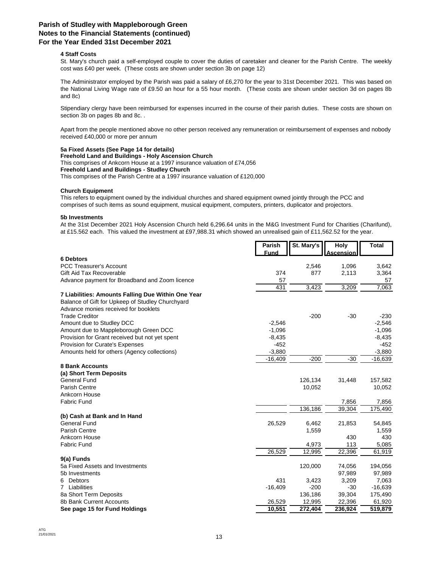### **Parish of Studley with Mappleborough Green Notes to the Financial Statements (continued) For the Year Ended 31st December 2021**

#### **4 Staff Costs**

St. Mary's church paid a self-employed couple to cover the duties of caretaker and cleaner for the Parish Centre. The weekly cost was £40 per week. (These costs are shown under section 3b on page 12)

The Administrator employed by the Parish was paid a salary of £6,270 for the year to 31st December 2021. This was based on the National Living Wage rate of £9.50 an hour for a 55 hour month. (These costs are shown under section 3d on pages 8b and 8c)

Stipendiary clergy have been reimbursed for expenses incurred in the course of their parish duties. These costs are shown on section 3b on pages 8b and 8c. .

Apart from the people mentioned above no other person received any remuneration or reimbursement of expenses and nobody received £40,000 or more per annum

#### **5a Fixed Assets (See Page 14 for details)**

**Freehold Land and Buildings - Holy Ascension Church** This comprises of Ankcorn House at a 1997 insurance valuation of £74,056 **Freehold Land and Buildings - Studley Church** This comprises of the Parish Centre at a 1997 insurance valuation of £120,000

#### **Church Equipment**

This refers to equipment owned by the individual churches and shared equipment owned jointly through the PCC and comprises of such items as sound equipment, musical equipment, computers, printers, duplicator and projectors.

#### **5b Investments**

At the 31st December 2021 Holy Ascension Church held 6,296.64 units in the M&G Investment Fund for Charities (Charifund), at £15.562 each. This valued the investment at £97,988.31 which showed an unrealised gain of £11,562.52 for the year.

|                                                                                          | Parish      | St. Mary's          | <b>Holy</b>      | <b>Total</b> |
|------------------------------------------------------------------------------------------|-------------|---------------------|------------------|--------------|
|                                                                                          | <b>Fund</b> |                     | <b>Ascension</b> |              |
| <b>6 Debtors</b>                                                                         |             |                     |                  |              |
| <b>PCC Treasurer's Account</b>                                                           |             | 2,546               | 1,096            | 3,642        |
| Gift Aid Tax Recoverable                                                                 | 374         | 877                 | 2,113            | 3,364        |
| Advance payment for Broadband and Zoom licence                                           | 57<br>431   |                     |                  | 57           |
|                                                                                          |             | 3,423               | 3,209            | 7,063        |
| 7 Liabilities: Amounts Falling Due Within One Year                                       |             |                     |                  |              |
| Balance of Gift for Upkeep of Studley Churchyard<br>Advance monies received for booklets |             |                     |                  |              |
| <b>Trade Creditor</b>                                                                    |             | $-200$              | $-30$            | $-230$       |
| Amount due to Studley DCC                                                                | $-2,546$    |                     |                  | $-2,546$     |
| Amount due to Mappleborough Green DCC                                                    | $-1,096$    |                     |                  | $-1,096$     |
| Provision for Grant received but not yet spent                                           | $-8,435$    |                     |                  | $-8,435$     |
| Provision for Curate's Expenses                                                          | $-452$      |                     |                  | $-452$       |
| Amounts held for others (Agency collections)                                             | $-3,880$    |                     |                  | $-3,880$     |
|                                                                                          | $-16,409$   | $-200$              | $-30$            | $-16,639$    |
| <b>8 Bank Accounts</b>                                                                   |             |                     |                  |              |
| (a) Short Term Deposits                                                                  |             |                     |                  |              |
| <b>General Fund</b>                                                                      |             | 126,134             | 31,448           | 157,582      |
| Parish Centre                                                                            |             | 10,052              |                  | 10,052       |
| Ankcorn House                                                                            |             |                     |                  |              |
| <b>Fabric Fund</b>                                                                       |             |                     | 7,856            | 7,856        |
|                                                                                          |             | 136,186             | 39,304           | 175,490      |
| (b) Cash at Bank and In Hand                                                             |             |                     |                  |              |
| <b>General Fund</b>                                                                      | 26,529      | 6,462               | 21,853           | 54,845       |
| <b>Parish Centre</b>                                                                     |             | 1,559               |                  | 1,559        |
| Ankcorn House                                                                            |             |                     | 430              | 430          |
| <b>Fabric Fund</b>                                                                       |             | 4,973               | 113              | 5,085        |
|                                                                                          | 26,529      | $\overline{12,995}$ | 22,396           | 61,919       |
| 9(a) Funds                                                                               |             |                     |                  |              |
| 5a Fixed Assets and Investments                                                          |             | 120,000             | 74,056           | 194,056      |
| 5b Investments                                                                           |             |                     | 97,989           | 97,989       |
| Debtors<br>6                                                                             | 431         | 3,423               | 3,209            | 7,063        |
| 7 Liabilities                                                                            | $-16,409$   | $-200$              | $-30$            | $-16,639$    |
| 8a Short Term Deposits                                                                   |             | 136,186             | 39,304           | 175,490      |
| 8b Bank Current Accounts                                                                 | 26,529      | 12,995              | 22,396           | 61,920       |
| See page 15 for Fund Holdings                                                            | 10,551      | 272,404             | 236,924          | 519,879      |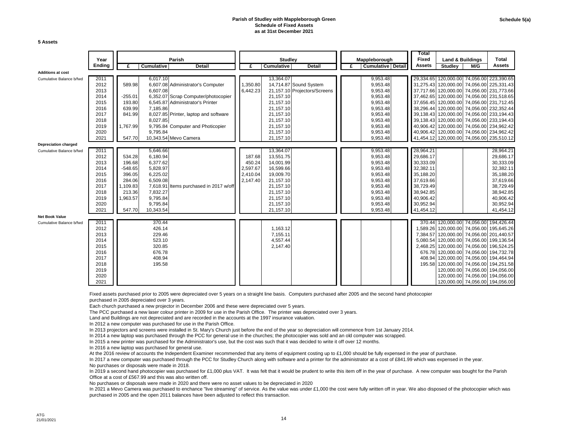#### **Parish of Studley with Mappleborough Green Schedule of Fixed Assets as at 31st December 2021**

**5 Assets**

|                          | Year   |           |                   | Parish                                |          | <b>Studley</b>    |                              |   | Mappleborough            |  | Fixed         | Land & Buildings                          |     | Total                                     |
|--------------------------|--------|-----------|-------------------|---------------------------------------|----------|-------------------|------------------------------|---|--------------------------|--|---------------|-------------------------------------------|-----|-------------------------------------------|
|                          | Ending | £         | <b>Cumulative</b> | <b>Detail</b>                         | £        | <b>Cumulative</b> | <b>Detail</b>                | £ | <b>Cumulative Detail</b> |  | <b>Assets</b> | <b>Studley</b>                            | M/G | Assets                                    |
| <b>Additions at cost</b> |        |           |                   |                                       |          |                   |                              |   |                          |  |               |                                           |     |                                           |
| Cumulative Balance b/fwd | 2011   |           | 6,017.10          |                                       |          | 13,364.07         |                              |   | 9,953.48                 |  |               | 29,334.65 120,000.00 74,056.00 223,390.65 |     |                                           |
|                          | 2012   | 589.98    |                   | 6,607.08 Administrator's Computer     | 1,350.80 |                   | 14,714.87 Sound System       |   | 9,953.48                 |  |               |                                           |     | 31,275.43 120,000.00 74,056.00 225,331.43 |
|                          | 2013   |           | 6,607.08          |                                       | 6,442.23 |                   | 21,157.10 Projectors/Screens |   | 9,953.48                 |  |               |                                           |     | 37,717.66 120,000.00 74,056.00 231,773.66 |
|                          | 2014   | $-255.01$ |                   | 6,352.07 Scrap Computer/photocopier   |          | 21,157.10         |                              |   | 9,953.48                 |  |               |                                           |     | 37,462.65 120,000.00 74,056.00 231,518.65 |
|                          | 2015   | 193.80    |                   | 6,545.87 Administrator's Printer      |          | 21,157.10         |                              |   | 9,953.48                 |  |               |                                           |     | 37,656.45 120,000.00 74,056.00 231,712.45 |
|                          | 2016   | 639.99    | 7.185.86          |                                       |          | 21,157.10         |                              |   | 9,953.48                 |  |               | 38,296.44 120,000.00 74,056.00 232,352.44 |     |                                           |
|                          | 2017   | 841.99    |                   | 8,027.85 Printer, laptop and software |          | 21,157.10         |                              |   | 9,953.48                 |  |               |                                           |     | 39,138.43 120,000.00 74,056.00 233,194.43 |
|                          | 2018   |           | 8,027.85          |                                       |          | 21,157.10         |                              |   | 9,953.48                 |  |               |                                           |     | 39,138.43 120,000.00 74,056.00 233,194.43 |
|                          | 2019   | 1,767.99  |                   | 9,795.84 Computer and Photicopier     |          | 21,157.10         |                              |   | 9,953.48                 |  |               |                                           |     | 40,906.42 120,000.00 74,056.00 234,962.42 |
|                          | 2020   |           | 9,795.84          |                                       |          | 21,157.10         |                              |   | 9,953.48                 |  |               |                                           |     | 40,906.42 120,000.00 74,056.00 234,962.42 |
|                          | 2021   | 547.70    |                   | 10,343.54 Mevo Camera                 |          | 21,157.10         |                              |   | 9,953.48                 |  |               | 41,454.12 120,000.00 74,056.00 235,510.12 |     |                                           |
| Depreciation charged     |        |           |                   |                                       |          |                   |                              |   |                          |  |               |                                           |     |                                           |
| Cumulative Balance b/fwd | 2011   |           | 5,646.66          |                                       |          | 13,364.07         |                              |   | 9,953.48                 |  | 28,964.21     |                                           |     | 28,964.21                                 |
|                          | 2012   | 534.28    | 6,180.94          |                                       | 187.68   | 13,551.75         |                              |   | 9,953.48                 |  | 29,686.17     |                                           |     | 29,686.17                                 |
|                          | 2013   | 196.68    | 6,377.62          |                                       | 450.24   | 14,001.99         |                              |   | 9,953.48                 |  | 30,333.09     |                                           |     | 30,333.09                                 |
|                          | 2014   | $-548.65$ | 5,828.97          |                                       | 2,597.67 | 16,599.66         |                              |   | 9,953.48                 |  | 32,382.11     |                                           |     | 32,382.11                                 |
|                          | 2015   | 396.05    | 6,225.02          |                                       | 2,410.04 | 19,009.70         |                              |   | 9,953.48                 |  | 35,188.20     |                                           |     | 35,188.20                                 |
|                          | 2016   | 284.06    | 6,509.08          |                                       | 2,147.40 | 21,157.10         |                              |   | 9,953.48                 |  | 37,619.66     |                                           |     | 37,619.66                                 |
|                          | 2017   | 1,109.83  | 7,618.91          | Items purchased in 2017 w/off         |          | 21,157.10         |                              |   | 9,953.48                 |  | 38,729.49     |                                           |     | 38,729.49                                 |
|                          | 2018   | 213.36    | 7,832.27          |                                       |          | 21,157.10         |                              |   | 9,953.48                 |  | 38,942.85     |                                           |     | 38,942.85                                 |
|                          | 2019   | 1,963.57  | 9,795.84          |                                       |          | 21,157.10         |                              |   | 9,953.48                 |  | 40.906.42     |                                           |     | 40,906.42                                 |
|                          | 2020   |           | 9,795.84          |                                       |          | 21,157.10         |                              |   | 9,953.48                 |  | 30,952.94     |                                           |     | 30,952.94                                 |
|                          | 2021   | 547.70    | 10,343.54         |                                       |          | 21,157.10         |                              |   | 9,953.48                 |  | 41,454.12     |                                           |     | 41,454.12                                 |
| Net Book Value           |        |           |                   |                                       |          |                   |                              |   |                          |  |               |                                           |     |                                           |
| Cumulative Balance b/fwd | 2011   |           | 370.44            |                                       |          |                   |                              |   |                          |  |               |                                           |     | 370.44 120,000.00 74,056.00 194,426.44    |
|                          | 2012   |           | 426.14            |                                       |          | 1,163.12          |                              |   |                          |  |               |                                           |     | 1,589.26 120,000.00 74,056.00 195,645.26  |
|                          | 2013   |           | 229.46            |                                       |          | 7,155.11          |                              |   |                          |  |               | 7,384.57 120,000.00 74,056.00 201,440.57  |     |                                           |
|                          | 2014   |           | 523.10            |                                       |          | 4,557.44          |                              |   |                          |  |               |                                           |     | 5,080.54 120,000.00 74,056.00 199,136.54  |
|                          | 2015   |           | 320.85            |                                       |          | 2,147.40          |                              |   |                          |  |               |                                           |     | 2,468.25 120,000.00 74,056.00 196,524.25  |
|                          | 2016   |           | 676.78            |                                       |          |                   |                              |   |                          |  |               |                                           |     | 676.78 120,000.00 74,056.00 194,732.78    |
|                          | 2017   |           | 408.94            |                                       |          |                   |                              |   |                          |  |               |                                           |     | 408.94 120,000.00 74,056.00 194,464.94    |
|                          | 2018   |           | 195.58            |                                       |          |                   |                              |   |                          |  |               |                                           |     | 195.58 120,000.00 74,056.00 194,251.58    |
|                          | 2019   |           |                   |                                       |          |                   |                              |   |                          |  |               |                                           |     | 120,000.00 74,056.00 194,056.00           |
|                          | 2020   |           |                   |                                       |          |                   |                              |   |                          |  |               |                                           |     | 120,000.00 74,056.00 194,056.00           |
|                          | 2021   |           |                   |                                       |          |                   |                              |   |                          |  |               |                                           |     | 120,000.00 74,056.00 194,056.00           |

Fixed assets purchased prior to 2005 were depreciated over 5 years on a straight line basis. Computers purchased after 2005 and the second hand photocopier

purchased in 2005 depreciated over 3 years.

Each church purchased a new projector in December 2006 and these were depreciated over 5 years.

The PCC purchased a new laser colour printer in 2009 for use in the Parish Office. The printer was depreciated over 3 years.

Land and Buildings are not depreciated and are recorded in the accounts at the 1997 insurance valuation.

In 2012 a new computer was purchased for use in the Parish Office.

In 2013 projectors and screens were installed in St. Mary's Church just before the end of the year so depreciation will commence from 1st January 2014.

In 2014 a new laptop was purchased through the PCC for general use in the churches; the photocopier was sold and an old computer was scrapped.

In 2015 a new printer was purchased for the Administrator's use, but the cost was such that it was decided to write it off over 12 months.

In 2016 a new laptop was purchased for general use.

At the 2016 review of accounts the Independent Examiner recommended that any items of equipment costing up to £1,000 should be fully expensed in the year of purchase.

In 2017 a new computer was purchased through the PCC for Studley Church along with software and a printer for the administrator at a cost of £841.99 which was expensed in the year. No purchases or disposals were made in 2018.

In 2019 a second hand photocopier was purchased for £1,000 plus VAT. It was felt that it would be prudent to write this item off in the year of purchase. A new computer was bought for the Parish Office at a cost of £567.99 and this was also written off.

No purchases or disposals were made in 2020 and there were no asset values to be depreciated in 2020

In 2021 a Mevo Camera was purchased to enchance "live streaming" of service. As the value was under £1,000 the cost were fully written off in year. We also disposed of the photocopier which was purchased in 2005 and the open 2011 balances have been adjusted to reflect this transaction.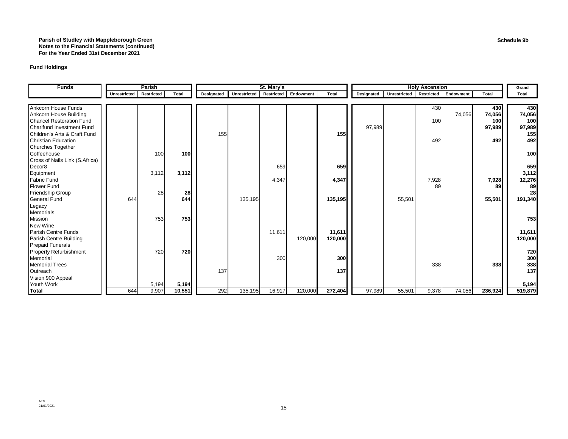#### **Parish of Studley with Mappleborough Green Notes to the Financial Statements (continued) For the Year Ended 31st December 2021**

#### **Fund Holdings**

| <b>Funds</b>                    |                     | Parish     |        |            |              | St. Mary's        |           |                  | <b>Holy Ascension</b> |                         |       | Grand     |            |         |
|---------------------------------|---------------------|------------|--------|------------|--------------|-------------------|-----------|------------------|-----------------------|-------------------------|-------|-----------|------------|---------|
|                                 | <b>Unrestricted</b> | Restricted | Total  | Designated | Unrestricted | <b>Restricted</b> | Endowment | <b>Total</b>     | Designated            | Unrestricted Restricted |       | Endowment | Total      | Total   |
|                                 |                     |            |        |            |              |                   |           |                  |                       |                         |       |           |            |         |
| <b>Ankcorn House Funds</b>      |                     |            |        |            |              |                   |           |                  |                       |                         | 430   |           | 430        | 430     |
| Ankcorn House Building          |                     |            |        |            |              |                   |           |                  |                       |                         |       | 74,056    | 74,056     | 74,056  |
| <b>Chancel Restoration Fund</b> |                     |            |        |            |              |                   |           |                  |                       |                         | 100   |           | <b>100</b> | 100     |
| Charifund Investment Fund       |                     |            |        |            |              |                   |           |                  | 97,989                |                         |       |           | 97,989     | 97,989  |
| Children's Arts & Craft Fund    |                     |            |        | 155        |              |                   |           | 155              |                       |                         |       |           |            | 155     |
| <b>Christian Education</b>      |                     |            |        |            |              |                   |           |                  |                       |                         | 492   |           | 492        | 492     |
| <b>Churches Together</b>        |                     |            |        |            |              |                   |           |                  |                       |                         |       |           |            |         |
| Coffeehouse                     |                     | 100        | 100    |            |              |                   |           |                  |                       |                         |       |           |            | 100     |
| Cross of Nails Link (S.Africa)  |                     |            |        |            |              |                   |           |                  |                       |                         |       |           |            |         |
| Decor8                          |                     |            |        |            |              | 659               |           | 659              |                       |                         |       |           |            | 659     |
| Equipment                       |                     | 3,112      | 3,112  |            |              |                   |           |                  |                       |                         |       |           |            | 3,112   |
| <b>Fabric Fund</b>              |                     |            |        |            |              | 4,347             |           | 4,347            |                       |                         | 7,928 |           | 7,928      | 12,276  |
| <b>Flower Fund</b>              |                     |            |        |            |              |                   |           |                  |                       |                         | 89    |           | 89         | 89      |
| <b>Friendship Group</b>         |                     | 28         | 28     |            |              |                   |           |                  |                       |                         |       |           |            | 28      |
| <b>General Fund</b>             | 644                 |            | 644    |            | 135,195      |                   |           | 135,195          |                       | 55,501                  |       |           | 55,501     | 191,340 |
| Legacy                          |                     |            |        |            |              |                   |           |                  |                       |                         |       |           |            |         |
| <b>Memorials</b>                |                     |            |        |            |              |                   |           |                  |                       |                         |       |           |            |         |
| <b>Mission</b>                  |                     | 753        | 753    |            |              |                   |           |                  |                       |                         |       |           |            | 753     |
| New Wine                        |                     |            |        |            |              |                   |           |                  |                       |                         |       |           |            |         |
| Parish Centre Funds             |                     |            |        |            |              | 11,611            |           | 11,611           |                       |                         |       |           |            | 11,611  |
| Parish Centre Building          |                     |            |        |            |              |                   | 120,000   | 120,000          |                       |                         |       |           |            | 120,000 |
| <b>Prepaid Funerals</b>         |                     |            |        |            |              |                   |           |                  |                       |                         |       |           |            |         |
| <b>Property Refurbishment</b>   |                     | 720        | 720    |            |              |                   |           |                  |                       |                         |       |           |            | 720     |
| Memorial                        |                     |            |        |            |              | 300               |           | 300 <sup>1</sup> |                       |                         |       |           |            | 300     |
| <b>Memorial Trees</b>           |                     |            |        |            |              |                   |           |                  |                       |                         | 338   |           | <b>338</b> | 338     |
| Outreach                        |                     |            |        | 137        |              |                   |           | 137              |                       |                         |       |           |            | 137     |
| Vision 900 Appeal               |                     |            |        |            |              |                   |           |                  |                       |                         |       |           |            |         |
| Youth Work                      |                     | 5,194      | 5,194  |            |              |                   |           |                  |                       |                         |       |           |            | 5,194   |
| Total                           | 644                 | 9,907      | 10,551 | 292        | 135,195      | 16,917            | 120,000   | 272,404          | 97,989                | 55,501                  | 9,378 | 74,056    | 236,924    | 519,879 |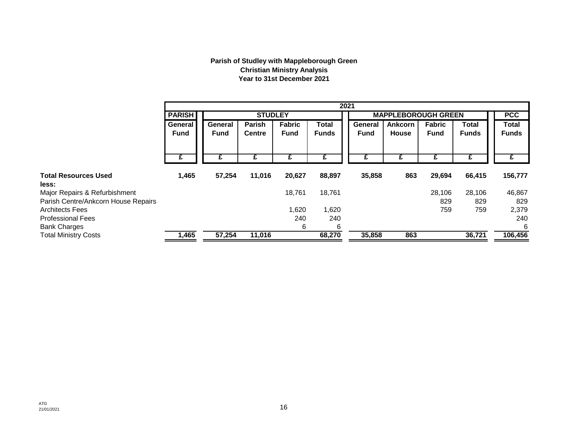### **Parish of Studley with Mappleborough Green Christian Ministry Analysis Year to 31st December 2021**

|                                     |                        | 2021                   |                                |                              |                       |                        |                            |                              |                       |                              |  |
|-------------------------------------|------------------------|------------------------|--------------------------------|------------------------------|-----------------------|------------------------|----------------------------|------------------------------|-----------------------|------------------------------|--|
|                                     | <b>PARISH</b>          | <b>STUDLEY</b>         |                                |                              |                       |                        | <b>MAPPLEBOROUGH GREEN</b> |                              |                       |                              |  |
|                                     | General<br><b>Fund</b> | General<br><b>Fund</b> | <b>Parish</b><br><b>Centre</b> | <b>Fabric</b><br><b>Fund</b> | Total<br><b>Funds</b> | General<br><b>Fund</b> | <b>Ankcorn</b><br>House    | <b>Fabric</b><br><b>Fund</b> | Total<br><b>Funds</b> | <b>Total</b><br><b>Funds</b> |  |
|                                     | £                      |                        |                                |                              | £                     |                        |                            | £                            | £                     |                              |  |
| <b>Total Resources Used</b>         | 1,465                  | 57,254                 | 11,016                         | 20,627                       | 88,897                | 35,858                 | 863                        | 29,694                       | 66,415                | 156,777                      |  |
| less:                               |                        |                        |                                |                              |                       |                        |                            |                              |                       |                              |  |
| Major Repairs & Refurbishment       |                        |                        |                                | 18,761                       | 18,761                |                        |                            | 28,106                       | 28,106                | 46,867                       |  |
| Parish Centre/Ankcorn House Repairs |                        |                        |                                |                              |                       |                        |                            | 829                          | 829                   | 829                          |  |
| <b>Architects Fees</b>              |                        |                        |                                | 620, ا                       | 1,620                 |                        |                            | 759                          | 759                   | 2,379                        |  |
| <b>Professional Fees</b>            |                        |                        |                                | 240                          | 240                   |                        |                            |                              |                       | 240                          |  |
| <b>Bank Charges</b>                 |                        |                        |                                | 6                            | 6                     |                        |                            |                              |                       | 6                            |  |
| <b>Total Ministry Costs</b>         | 1,465                  | 57,254                 | 11,016                         |                              | 68,270                | 35,858                 | 863                        |                              | 36,721                | 106,456                      |  |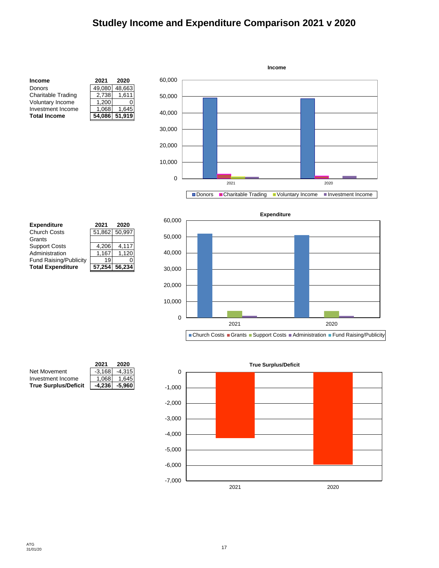## **Studley Income and Expenditure Comparison 2021 v 2020**



| <b>Expenditure</b>       | 2021   | 2020          |
|--------------------------|--------|---------------|
| <b>Church Costs</b>      |        | 51,862 50,997 |
| Grants                   |        |               |
| <b>Support Costs</b>     | 4,206  | 4,117         |
| Administration           | 1.167  | 1,120         |
| Fund Raising/Publicity   | 19     |               |
| <b>Total Expenditure</b> | 57.254 | 56,234        |



|                             | 2021     | 2020     |
|-----------------------------|----------|----------|
| Net Movement                | $-3,168$ | $-4,315$ |
| Investment Income           | 1.068    | 1.645    |
| <b>True Surplus/Deficit</b> | $-4,236$ | $-5,960$ |

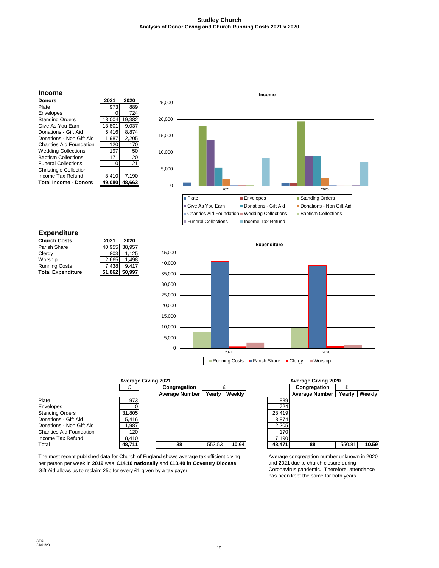#### **Studley Church Analysis of Donor Giving and Church Running Costs 2021 v 2020**



Gift Aid allows us to reclaim 25p for every £1 given by a tax payer. The most recent published data for Church of England shows average tax efficient giving per person per week in **2019** was **£14.10 nationally** and **£13.40 in Coventry Diocese** 

Average congregation number unknown in 2020 and 2021 due to church closure during Coronavirus pandemic. Therefore, attendance has been kept the same for both years.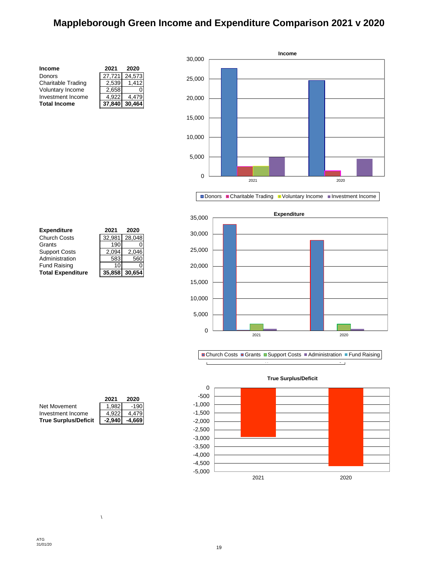## **Mappleborough Green Income and Expenditure Comparison 2021 v 2020**

| Income                    | 2021   | 2020   |
|---------------------------|--------|--------|
| Donors                    | 27,721 | 24.573 |
| <b>Charitable Trading</b> | 2.539  | 1.412  |
| Voluntary Income          | 2,658  |        |
| Investment Income         | 4.922  | 4.479  |
| <b>Total Income</b>       | 37.840 | 30.464 |

**Total Expenditure 35,858 30,654**



Donors Charitable Trading Voluntary Income Investment Income







| <b>Expenditure</b>       | 2021   | 2020          |
|--------------------------|--------|---------------|
| Church Costs             | 32.981 | 28,048        |
| Grants                   | 190    | 0             |
| <b>Support Costs</b>     | 2,094  | 2.046         |
| Administration           | 583    | 560           |
| <b>Fund Raising</b>      | 10     | O             |
| <b>Total Expenditure</b> |        | 35,858 30,654 |

|                             | 2021     | 2020   |
|-----------------------------|----------|--------|
| Net Movement                | 1.982    | $-190$ |
| Investment Income           | 4.922    | 4.479  |
| <b>True Surplus/Deficit</b> | $-2,940$ | -4.669 |

 $\bar{\lambda}$